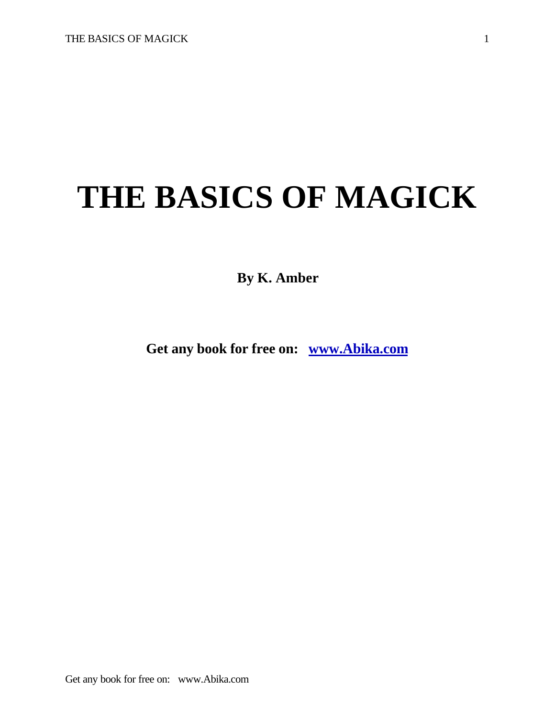**By K. Amber**

**Get any book for free on: www.Abika.com**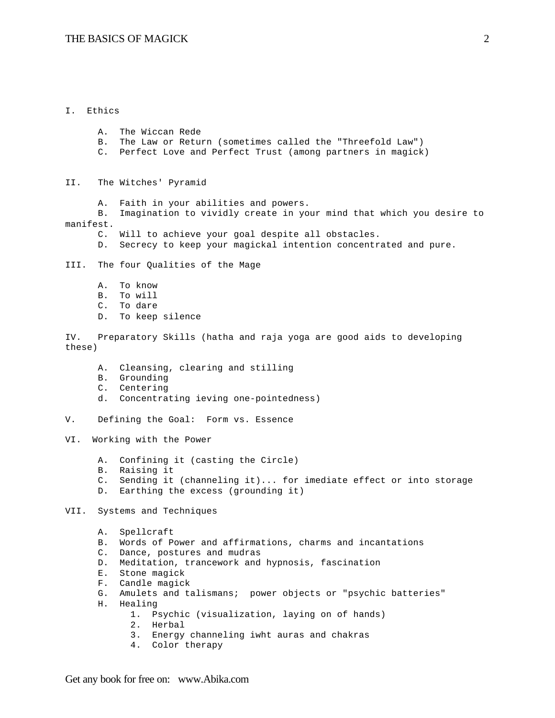## I. Ethics

- A. The Wiccan Rede
- B. The Law or Return (sometimes called the "Threefold Law")
- C. Perfect Love and Perfect Trust (among partners in magick)

II. The Witches' Pyramid

A. Faith in your abilities and powers.

B. Imagination to vividly create in your mind that which you desire to manifest.

- C. Will to achieve your goal despite all obstacles.
- D. Secrecy to keep your magickal intention concentrated and pure.

III. The four Qualities of the Mage

- A. To know
- B. To will
- C. To dare
- D. To keep silence

IV. Preparatory Skills (hatha and raja yoga are good aids to developing these)

- A. Cleansing, clearing and stilling
- B. Grounding
- C. Centering
- d. Concentrating ieving one-pointedness)
- V. Defining the Goal: Form vs. Essence
- VI. Working with the Power
	- A. Confining it (casting the Circle)
	- B. Raising it
	- C. Sending it (channeling it)... for imediate effect or into storage
	- D. Earthing the excess (grounding it)

VII. Systems and Techniques

- A. Spellcraft
- B. Words of Power and affirmations, charms and incantations
- C. Dance, postures and mudras
- D. Meditation, trancework and hypnosis, fascination
- E. Stone magick
- F. Candle magick
- G. Amulets and talismans; power objects or "psychic batteries"
- H. Healing
	- 1. Psychic (visualization, laying on of hands)
	- 2. Herbal
	- 3. Energy channeling iwht auras and chakras
	- 4. Color therapy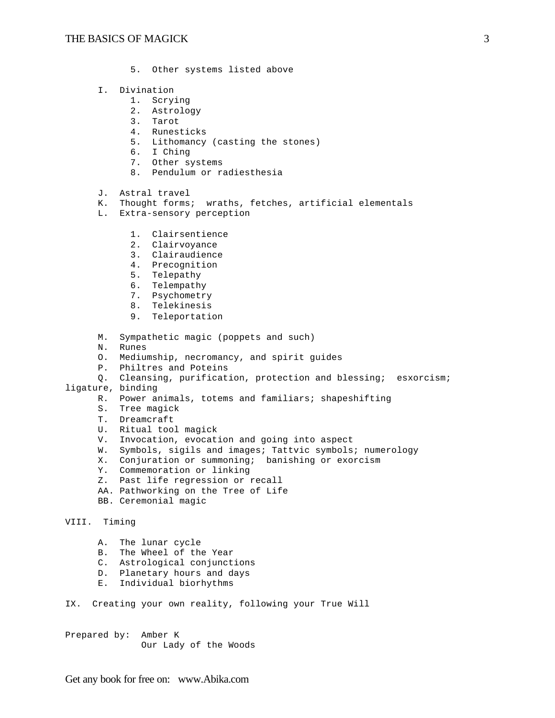- 5. Other systems listed above
- I. Divination
	- 1. Scrying
	- 2. Astrology
	- 3. Tarot
	- 4. Runesticks
	- 5. Lithomancy (casting the stones)
	- 6. I Ching
	- 7. Other systems
	- 8. Pendulum or radiesthesia
- J. Astral travel
- K. Thought forms; wraths, fetches, artificial elementals
- L. Extra-sensory perception
	- 1. Clairsentience
	- 2. Clairvoyance
	- 3. Clairaudience
	- 4. Precognition
	- 5. Telepathy
	- 6. Telempathy
	- 7. Psychometry
	- 8. Telekinesis
	- 9. Teleportation

M. Sympathetic magic (poppets and such)

- N. Runes
- O. Mediumship, necromancy, and spirit guides
- P. Philtres and Poteins
- Q. Cleansing, purification, protection and blessing; esxorcism;

ligature, binding

- R. Power animals, totems and familiars; shapeshifting
	- S. Tree magick
	- T. Dreamcraft
	- U. Ritual tool magick
	- V. Invocation, evocation and going into aspect
	- W. Symbols, sigils and images; Tattvic symbols; numerology
- X. Conjuration or summoning; banishing or exorcism
- Y. Commemoration or linking
- Z. Past life regression or recall
- AA. Pathworking on the Tree of Life
- BB. Ceremonial magic

## VIII. Timing

- A. The lunar cycle
- B. The Wheel of the Year
- C. Astrological conjunctions
- D. Planetary hours and days
- E. Individual biorhythms
- IX. Creating your own reality, following your True Will

Prepared by: Amber K Our Lady of the Woods

Get any book for free on: www.Abika.com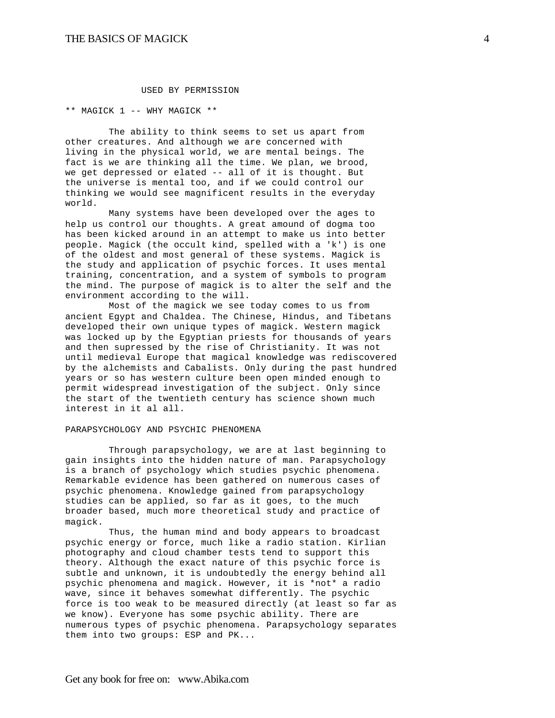#### USED BY PERMISSION

\*\* MAGICK 1 -- WHY MAGICK \*\*

 The ability to think seems to set us apart from other creatures. And although we are concerned with living in the physical world, we are mental beings. The fact is we are thinking all the time. We plan, we brood, we get depressed or elated -- all of it is thought. But the universe is mental too, and if we could control our thinking we would see magnificent results in the everyday world.

 Many systems have been developed over the ages to help us control our thoughts. A great amound of dogma too has been kicked around in an attempt to make us into better people. Magick (the occult kind, spelled with a 'k') is one of the oldest and most general of these systems. Magick is the study and application of psychic forces. It uses mental training, concentration, and a system of symbols to program the mind. The purpose of magick is to alter the self and the environment according to the will.

 Most of the magick we see today comes to us from ancient Egypt and Chaldea. The Chinese, Hindus, and Tibetans developed their own unique types of magick. Western magick was locked up by the Egyptian priests for thousands of years and then supressed by the rise of Christianity. It was not until medieval Europe that magical knowledge was rediscovered by the alchemists and Cabalists. Only during the past hundred years or so has western culture been open minded enough to permit widespread investigation of the subject. Only since the start of the twentieth century has science shown much interest in it al all.

## PARAPSYCHOLOGY AND PSYCHIC PHENOMENA

 Through parapsychology, we are at last beginning to gain insights into the hidden nature of man. Parapsychology is a branch of psychology which studies psychic phenomena. Remarkable evidence has been gathered on numerous cases of psychic phenomena. Knowledge gained from parapsychology studies can be applied, so far as it goes, to the much broader based, much more theoretical study and practice of magick.

 Thus, the human mind and body appears to broadcast psychic energy or force, much like a radio station. Kirlian photography and cloud chamber tests tend to support this theory. Although the exact nature of this psychic force is subtle and unknown, it is undoubtedly the energy behind all psychic phenomena and magick. However, it is \*not\* a radio wave, since it behaves somewhat differently. The psychic force is too weak to be measured directly (at least so far as we know). Everyone has some psychic ability. There are numerous types of psychic phenomena. Parapsychology separates them into two groups: ESP and PK...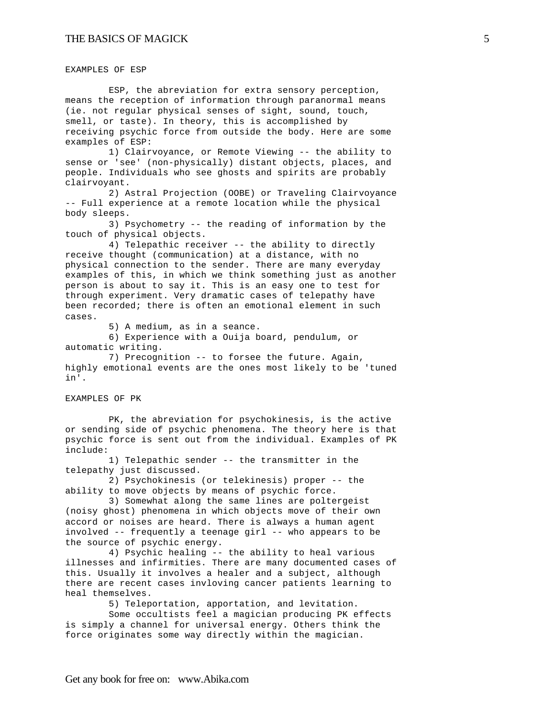EXAMPLES OF ESP

 ESP, the abreviation for extra sensory perception, means the reception of information through paranormal means (ie. not regular physical senses of sight, sound, touch, smell, or taste). In theory, this is accomplished by receiving psychic force from outside the body. Here are some examples of ESP:

 1) Clairvoyance, or Remote Viewing -- the ability to sense or 'see' (non-physically) distant objects, places, and people. Individuals who see ghosts and spirits are probably clairvoyant.

 2) Astral Projection (OOBE) or Traveling Clairvoyance -- Full experience at a remote location while the physical body sleeps.

 3) Psychometry -- the reading of information by the touch of physical objects.

 4) Telepathic receiver -- the ability to directly receive thought (communication) at a distance, with no physical connection to the sender. There are many everyday examples of this, in which we think something just as another person is about to say it. This is an easy one to test for through experiment. Very dramatic cases of telepathy have been recorded; there is often an emotional element in such cases.

5) A medium, as in a seance.

 6) Experience with a Ouija board, pendulum, or automatic writing.

 7) Precognition -- to forsee the future. Again, highly emotional events are the ones most likely to be 'tuned in'.

EXAMPLES OF PK

 PK, the abreviation for psychokinesis, is the active or sending side of psychic phenomena. The theory here is that psychic force is sent out from the individual. Examples of PK include:

 1) Telepathic sender -- the transmitter in the telepathy just discussed.

 2) Psychokinesis (or telekinesis) proper -- the ability to move objects by means of psychic force.

 3) Somewhat along the same lines are poltergeist (noisy ghost) phenomena in which objects move of their own accord or noises are heard. There is always a human agent involved -- frequently a teenage girl -- who appears to be the source of psychic energy.

 4) Psychic healing -- the ability to heal various illnesses and infirmities. There are many documented cases of this. Usually it involves a healer and a subject, although there are recent cases invloving cancer patients learning to heal themselves.

5) Teleportation, apportation, and levitation.

 Some occultists feel a magician producing PK effects is simply a channel for universal energy. Others think the force originates some way directly within the magician.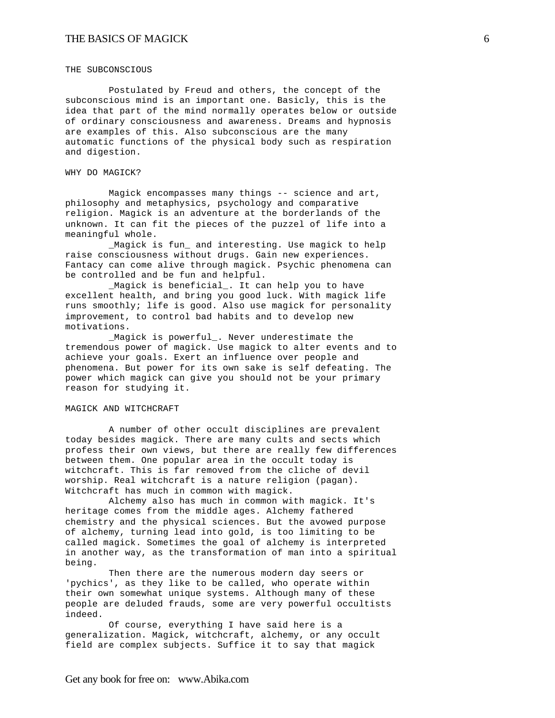## THE SUBCONSCIOUS

 Postulated by Freud and others, the concept of the subconscious mind is an important one. Basicly, this is the idea that part of the mind normally operates below or outside of ordinary consciousness and awareness. Dreams and hypnosis are examples of this. Also subconscious are the many automatic functions of the physical body such as respiration and digestion.

## WHY DO MAGICK?

 Magick encompasses many things -- science and art, philosophy and metaphysics, psychology and comparative religion. Magick is an adventure at the borderlands of the unknown. It can fit the pieces of the puzzel of life into a meaningful whole.

 \_Magick is fun\_ and interesting. Use magick to help raise consciousness without drugs. Gain new experiences. Fantacy can come alive through magick. Psychic phenomena can be controlled and be fun and helpful.

 \_Magick is beneficial\_. It can help you to have excellent health, and bring you good luck. With magick life runs smoothly; life is good. Also use magick for personality improvement, to control bad habits and to develop new motivations.

 \_Magick is powerful\_. Never underestimate the tremendous power of magick. Use magick to alter events and to achieve your goals. Exert an influence over people and phenomena. But power for its own sake is self defeating. The power which magick can give you should not be your primary reason for studying it.

#### MAGICK AND WITCHCRAFT

 A number of other occult disciplines are prevalent today besides magick. There are many cults and sects which profess their own views, but there are really few differences between them. One popular area in the occult today is witchcraft. This is far removed from the cliche of devil worship. Real witchcraft is a nature religion (pagan). Witchcraft has much in common with magick.

 Alchemy also has much in common with magick. It's heritage comes from the middle ages. Alchemy fathered chemistry and the physical sciences. But the avowed purpose of alchemy, turning lead into gold, is too limiting to be called magick. Sometimes the goal of alchemy is interpreted in another way, as the transformation of man into a spiritual being.

 Then there are the numerous modern day seers or 'pychics', as they like to be called, who operate within their own somewhat unique systems. Although many of these people are deluded frauds, some are very powerful occultists indeed.

 Of course, everything I have said here is a generalization. Magick, witchcraft, alchemy, or any occult field are complex subjects. Suffice it to say that magick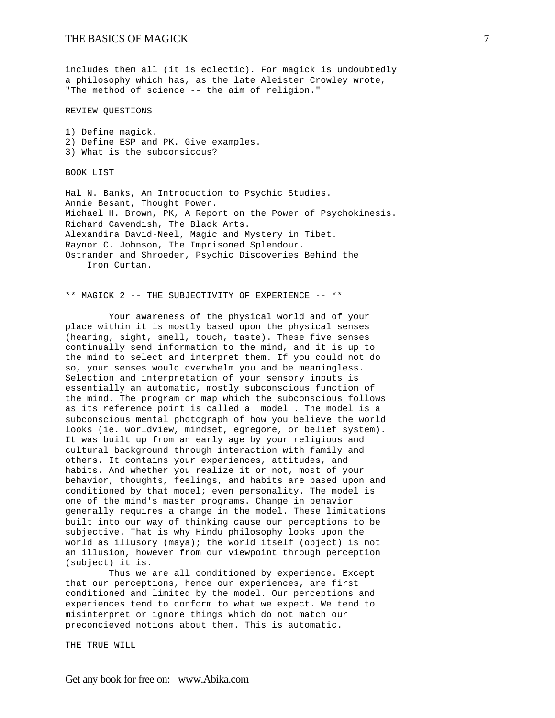includes them all (it is eclectic). For magick is undoubtedly a philosophy which has, as the late Aleister Crowley wrote, "The method of science -- the aim of religion."

REVIEW QUESTIONS

1) Define magick. 2) Define ESP and PK. Give examples. 3) What is the subconsicous?

BOOK LIST

Hal N. Banks, An Introduction to Psychic Studies. Annie Besant, Thought Power. Michael H. Brown, PK, A Report on the Power of Psychokinesis. Richard Cavendish, The Black Arts. Alexandira David-Neel, Magic and Mystery in Tibet. Raynor C. Johnson, The Imprisoned Splendour. Ostrander and Shroeder, Psychic Discoveries Behind the Iron Curtan.

\*\* MAGICK 2 -- THE SUBJECTIVITY OF EXPERIENCE -- \*\*

 Your awareness of the physical world and of your place within it is mostly based upon the physical senses (hearing, sight, smell, touch, taste). These five senses continually send information to the mind, and it is up to the mind to select and interpret them. If you could not do so, your senses would overwhelm you and be meaningless. Selection and interpretation of your sensory inputs is essentially an automatic, mostly subconscious function of the mind. The program or map which the subconscious follows as its reference point is called a \_model\_. The model is a subconscious mental photograph of how you believe the world looks (ie. worldview, mindset, egregore, or belief system). It was built up from an early age by your religious and cultural background through interaction with family and others. It contains your experiences, attitudes, and habits. And whether you realize it or not, most of your behavior, thoughts, feelings, and habits are based upon and conditioned by that model; even personality. The model is one of the mind's master programs. Change in behavior generally requires a change in the model. These limitations built into our way of thinking cause our perceptions to be subjective. That is why Hindu philosophy looks upon the world as illusory (maya); the world itself (object) is not an illusion, however from our viewpoint through perception (subject) it is.

 Thus we are all conditioned by experience. Except that our perceptions, hence our experiences, are first conditioned and limited by the model. Our perceptions and experiences tend to conform to what we expect. We tend to misinterpret or ignore things which do not match our preconcieved notions about them. This is automatic.

THE TRUE WILL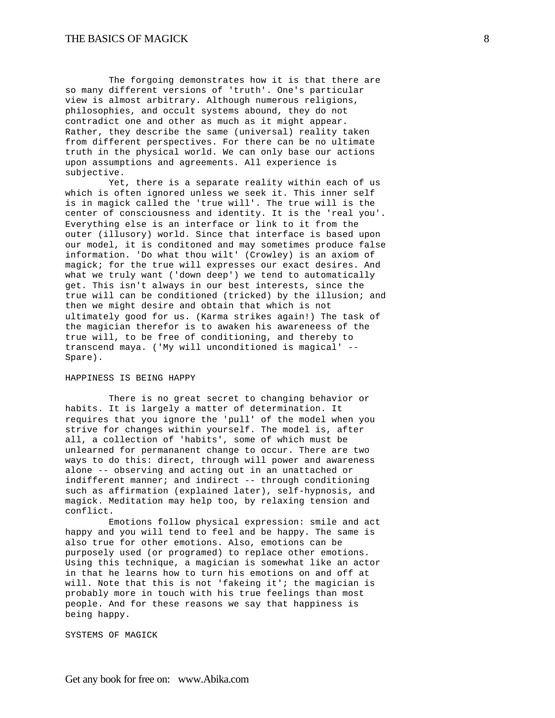The forgoing demonstrates how it is that there are so many different versions of 'truth'. One's particular view is almost arbitrary. Although numerous religions, philosophies, and occult systems abound, they do not contradict one and other as much as it might appear. Rather, they describe the same (universal) reality taken from different perspectives. For there can be no ultimate truth in the physical world. We can only base our actions upon assumptions and agreements. All experience is subjective.

 Yet, there is a separate reality within each of us which is often ignored unless we seek it. This inner self is in magick called the 'true will'. The true will is the center of consciousness and identity. It is the 'real you'. Everything else is an interface or link to it from the outer (illusory) world. Since that interface is based upon our model, it is conditoned and may sometimes produce false information. 'Do what thou wilt' (Crowley) is an axiom of magick; for the true will expresses our exact desires. And what we truly want ('down deep') we tend to automatically get. This isn't always in our best interests, since the true will can be conditioned (tricked) by the illusion; and then we might desire and obtain that which is not ultimately good for us. (Karma strikes again!) The task of the magician therefor is to awaken his awareneess of the true will, to be free of conditioning, and thereby to transcend maya. ('My will unconditioned is magical' -- Spare).

#### HAPPINESS IS BEING HAPPY

 There is no great secret to changing behavior or habits. It is largely a matter of determination. It requires that you ignore the 'pull' of the model when you strive for changes within yourself. The model is, after all, a collection of 'habits', some of which must be unlearned for permananent change to occur. There are two ways to do this: direct, through will power and awareness alone -- observing and acting out in an unattached or indifferent manner; and indirect -- through conditioning such as affirmation (explained later), self-hypnosis, and magick. Meditation may help too, by relaxing tension and conflict.

 Emotions follow physical expression: smile and act happy and you will tend to feel and be happy. The same is also true for other emotions. Also, emotions can be purposely used (or programed) to replace other emotions. Using this technique, a magician is somewhat like an actor in that he learns how to turn his emotions on and off at will. Note that this is not 'fakeing it'; the magician is probably more in touch with his true feelings than most people. And for these reasons we say that happiness is being happy.

SYSTEMS OF MAGICK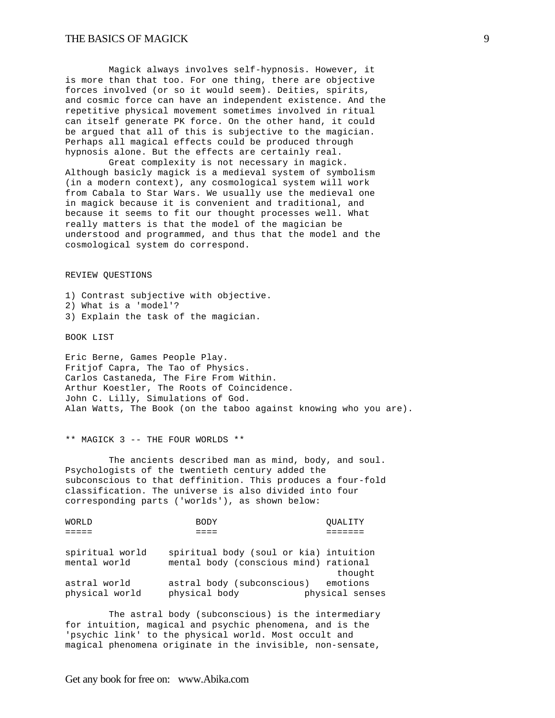Magick always involves self-hypnosis. However, it is more than that too. For one thing, there are objective forces involved (or so it would seem). Deities, spirits, and cosmic force can have an independent existence. And the repetitive physical movement sometimes involved in ritual can itself generate PK force. On the other hand, it could be argued that all of this is subjective to the magician. Perhaps all magical effects could be produced through hypnosis alone. But the effects are certainly real.

 Great complexity is not necessary in magick. Although basicly magick is a medieval system of symbolism (in a modern context), any cosmological system will work from Cabala to Star Wars. We usually use the medieval one in magick because it is convenient and traditional, and because it seems to fit our thought processes well. What really matters is that the model of the magician be understood and programmed, and thus that the model and the cosmological system do correspond.

## REVIEW QUESTIONS

1) Contrast subjective with objective. 2) What is a 'model'?

3) Explain the task of the magician.

BOOK LIST

Eric Berne, Games People Play. Fritjof Capra, The Tao of Physics. Carlos Castaneda, The Fire From Within. Arthur Koestler, The Roots of Coincidence. John C. Lilly, Simulations of God. Alan Watts, The Book (on the taboo against knowing who you are).

\*\* MAGICK 3 -- THE FOUR WORLDS \*\*

 The ancients described man as mind, body, and soul. Psychologists of the twentieth century added the subconscious to that deffinition. This produces a four-fold classification. The universe is also divided into four corresponding parts ('worlds'), as shown below:

| WORLD                           | <b>BODY</b>                                                                     | OUALITY         |
|---------------------------------|---------------------------------------------------------------------------------|-----------------|
|                                 |                                                                                 |                 |
| spiritual world<br>mental world | spiritual body (soul or kia) intuition<br>mental body (conscious mind) rational | thought         |
| astral world<br>physical world  | astral body (subconscious) emotions<br>physical body                            | physical senses |

 The astral body (subconscious) is the intermediary for intuition, magical and psychic phenomena, and is the 'psychic link' to the physical world. Most occult and magical phenomena originate in the invisible, non-sensate,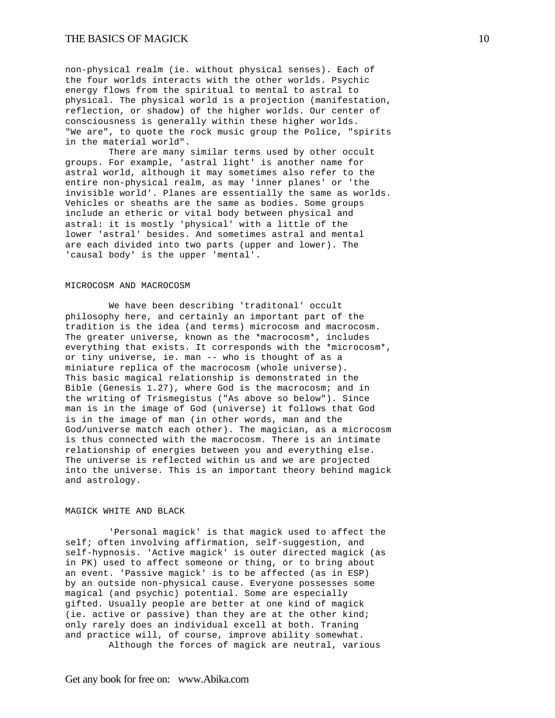non-physical realm (ie. without physical senses). Each of the four worlds interacts with the other worlds. Psychic energy flows from the spiritual to mental to astral to physical. The physical world is a projection (manifestation, reflection, or shadow) of the higher worlds. Our center of consciousness is generally within these higher worlds. "We are", to quote the rock music group the Police, "spirits in the material world".

 There are many similar terms used by other occult groups. For example, 'astral light' is another name for astral world, although it may sometimes also refer to the entire non-physical realm, as may 'inner planes' or 'the invisible world'. Planes are essentially the same as worlds. Vehicles or sheaths are the same as bodies. Some groups include an etheric or vital body between physical and astral: it is mostly 'physical' with a little of the lower 'astral' besides. And sometimes astral and mental are each divided into two parts (upper and lower). The 'causal body' is the upper 'mental'.

#### MICROCOSM AND MACROCOSM

 We have been describing 'traditonal' occult philosophy here, and certainly an important part of the tradition is the idea (and terms) microcosm and macrocosm. The greater universe, known as the \*macrocosm\*, includes everything that exists. It corresponds with the \*microcosm\*, or tiny universe, ie. man -- who is thought of as a miniature replica of the macrocosm (whole universe). This basic magical relationship is demonstrated in the Bible (Genesis 1.27), where God is the macrocosm; and in the writing of Trismegistus ("As above so below"). Since man is in the image of God (universe) it follows that God is in the image of man (in other words, man and the God/universe match each other). The magician, as a microcosm is thus connected with the macrocosm. There is an intimate relationship of energies between you and everything else. The universe is reflected within us and we are projected into the universe. This is an important theory behind magick and astrology.

## MAGICK WHITE AND BLACK

 'Personal magick' is that magick used to affect the self; often involving affirmation, self-suggestion, and self-hypnosis. 'Active magick' is outer directed magick (as in PK) used to affect someone or thing, or to bring about an event. 'Passive magick' is to be affected (as in ESP) by an outside non-physical cause. Everyone possesses some magical (and psychic) potential. Some are especially gifted. Usually people are better at one kind of magick (ie. active or passive) than they are at the other kind; only rarely does an individual excell at both. Traning and practice will, of course, improve ability somewhat. Although the forces of magick are neutral, various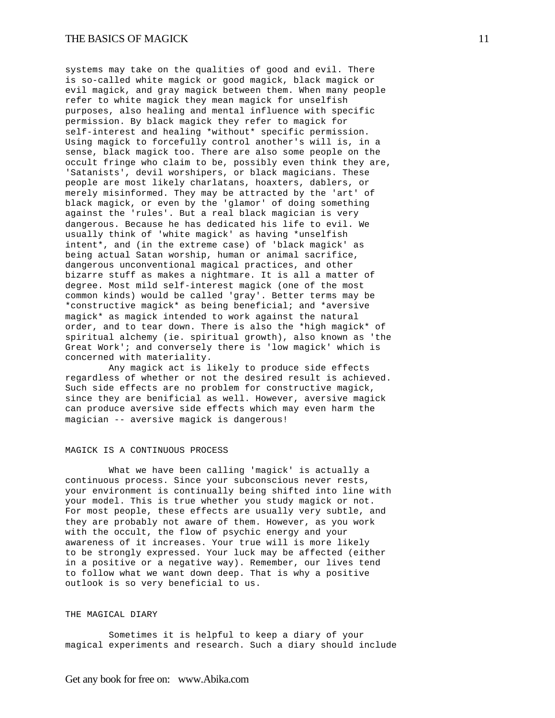systems may take on the qualities of good and evil. There is so-called white magick or good magick, black magick or evil magick, and gray magick between them. When many people refer to white magick they mean magick for unselfish purposes, also healing and mental influence with specific permission. By black magick they refer to magick for self-interest and healing \*without\* specific permission. Using magick to forcefully control another's will is, in a sense, black magick too. There are also some people on the occult fringe who claim to be, possibly even think they are, 'Satanists', devil worshipers, or black magicians. These people are most likely charlatans, hoaxters, dablers, or merely misinformed. They may be attracted by the 'art' of black magick, or even by the 'glamor' of doing something against the 'rules'. But a real black magician is very dangerous. Because he has dedicated his life to evil. We usually think of 'white magick' as having \*unselfish intent\*, and (in the extreme case) of 'black magick' as being actual Satan worship, human or animal sacrifice, dangerous unconventional magical practices, and other bizarre stuff as makes a nightmare. It is all a matter of degree. Most mild self-interest magick (one of the most common kinds) would be called 'gray'. Better terms may be \*constructive magick\* as being beneficial; and \*aversive magick\* as magick intended to work against the natural order, and to tear down. There is also the \*high magick\* of spiritual alchemy (ie. spiritual growth), also known as 'the Great Work'; and conversely there is 'low magick' which is concerned with materiality.

 Any magick act is likely to produce side effects regardless of whether or not the desired result is achieved. Such side effects are no problem for constructive magick, since they are benificial as well. However, aversive magick can produce aversive side effects which may even harm the magician -- aversive magick is dangerous!

## MAGICK IS A CONTINUOUS PROCESS

 What we have been calling 'magick' is actually a continuous process. Since your subconscious never rests, your environment is continually being shifted into line with your model. This is true whether you study magick or not. For most people, these effects are usually very subtle, and they are probably not aware of them. However, as you work with the occult, the flow of psychic energy and your awareness of it increases. Your true will is more likely to be strongly expressed. Your luck may be affected (either in a positive or a negative way). Remember, our lives tend to follow what we want down deep. That is why a positive outlook is so very beneficial to us.

#### THE MAGICAL DIARY

 Sometimes it is helpful to keep a diary of your magical experiments and research. Such a diary should include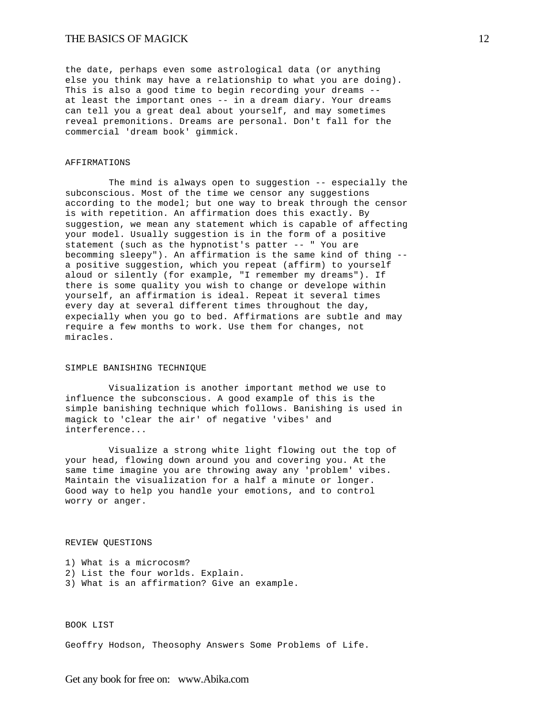the date, perhaps even some astrological data (or anything else you think may have a relationship to what you are doing). This is also a good time to begin recording your dreams - at least the important ones -- in a dream diary. Your dreams can tell you a great deal about yourself, and may sometimes reveal premonitions. Dreams are personal. Don't fall for the commercial 'dream book' gimmick.

#### AFFIRMATIONS

 The mind is always open to suggestion -- especially the subconscious. Most of the time we censor any suggestions according to the model; but one way to break through the censor is with repetition. An affirmation does this exactly. By suggestion, we mean any statement which is capable of affecting your model. Usually suggestion is in the form of a positive statement (such as the hypnotist's patter -- " You are becomming sleepy"). An affirmation is the same kind of thing - a positive suggestion, which you repeat (affirm) to yourself aloud or silently (for example, "I remember my dreams"). If there is some quality you wish to change or develope within yourself, an affirmation is ideal. Repeat it several times every day at several different times throughout the day, expecially when you go to bed. Affirmations are subtle and may require a few months to work. Use them for changes, not miracles.

## SIMPLE BANISHING TECHNIQUE

 Visualization is another important method we use to influence the subconscious. A good example of this is the simple banishing technique which follows. Banishing is used in magick to 'clear the air' of negative 'vibes' and interference...

 Visualize a strong white light flowing out the top of your head, flowing down around you and covering you. At the same time imagine you are throwing away any 'problem' vibes. Maintain the visualization for a half a minute or longer. Good way to help you handle your emotions, and to control worry or anger.

## REVIEW QUESTIONS

1) What is a microcosm? 2) List the four worlds. Explain. 3) What is an affirmation? Give an example.

#### BOOK LIST

Geoffry Hodson, Theosophy Answers Some Problems of Life.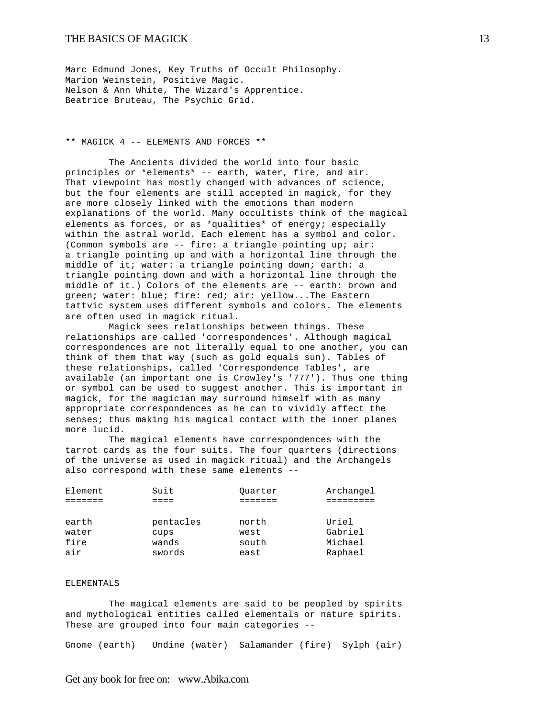Marc Edmund Jones, Key Truths of Occult Philosophy. Marion Weinstein, Positive Magic. Nelson & Ann White, The Wizard's Apprentice. Beatrice Bruteau, The Psychic Grid.

\*\* MAGICK 4 -- ELEMENTS AND FORCES \*\*

 The Ancients divided the world into four basic principles or \*elements\* -- earth, water, fire, and air. That viewpoint has mostly changed with advances of science, but the four elements are still accepted in magick, for they are more closely linked with the emotions than modern explanations of the world. Many occultists think of the magical elements as forces, or as \*qualities\* of energy; especially within the astral world. Each element has a symbol and color. (Common symbols are -- fire: a triangle pointing up; air: a triangle pointing up and with a horizontal line through the middle of it; water: a triangle pointing down; earth: a triangle pointing down and with a horizontal line through the middle of it.) Colors of the elements are -- earth: brown and green; water: blue; fire: red; air: yellow...The Eastern tattvic system uses different symbols and colors. The elements are often used in magick ritual.

 Magick sees relationships between things. These relationships are called 'correspondences'. Although magical correspondences are not literally equal to one another, you can think of them that way (such as gold equals sun). Tables of these relationships, called 'Correspondence Tables', are available (an important one is Crowley's '777'). Thus one thing or symbol can be used to suggest another. This is important in magick, for the magician may surround himself with as many appropriate correspondences as he can to vividly affect the senses; thus making his magical contact with the inner planes more lucid.

 The magical elements have correspondences with the tarrot cards as the four suits. The four quarters (directions of the universe as used in magick ritual) and the Archangels also correspond with these same elements --

| Element | Suit      | Ouarter | Archangel |
|---------|-----------|---------|-----------|
|         |           |         |           |
| earth   |           | north   | Uriel     |
|         | pentacles |         |           |
| water   | cups      | west    | Gabriel   |
| fire    | wands     | south   | Michael   |
| air     | swords    | east    | Raphael   |

#### ELEMENTALS

 The magical elements are said to be peopled by spirits and mythological entities called elementals or nature spirits. These are grouped into four main categories --

Gnome (earth) Undine (water) Salamander (fire) Sylph (air)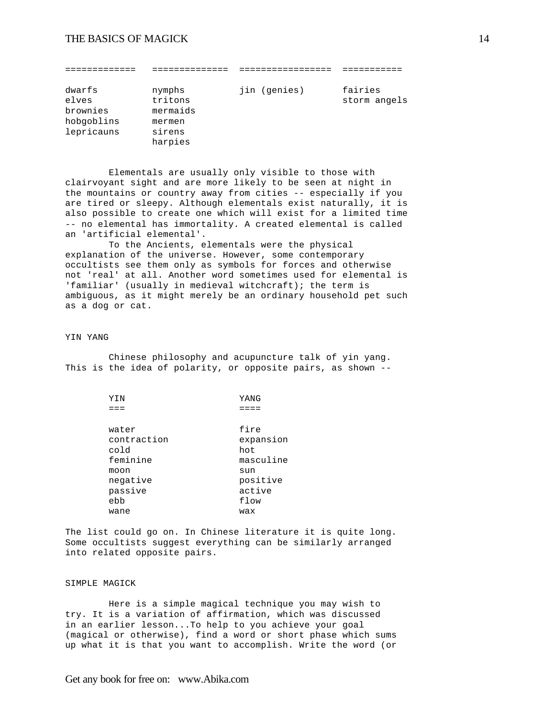harpies

| dwarfs     | nymphs   | jin (genies) | fairies      |
|------------|----------|--------------|--------------|
| elves      | tritons  |              | storm angels |
| brownies   | mermaids |              |              |
| hobqoblins | mermen   |              |              |
| lepricauns | sirens   |              |              |

 Elementals are usually only visible to those with clairvoyant sight and are more likely to be seen at night in the mountains or country away from cities -- especially if you are tired or sleepy. Although elementals exist naturally, it is also possible to create one which will exist for a limited time -- no elemental has immortality. A created elemental is called an 'artificial elemental'.

 To the Ancients, elementals were the physical explanation of the universe. However, some contemporary occultists see them only as symbols for forces and otherwise not 'real' at all. Another word sometimes used for elemental is 'familiar' (usually in medieval witchcraft); the term is ambiguous, as it might merely be an ordinary household pet such as a dog or cat.

#### YIN YANG

 Chinese philosophy and acupuncture talk of yin yang. This is the idea of polarity, or opposite pairs, as shown --

| YIN         | YANG      |
|-------------|-----------|
| ===         |           |
|             |           |
| water       | fire      |
| contraction | expansion |
| cold        | hot       |
| feminine    | masculine |
| moon        | sun       |
| negative    | positive  |
| passive     | active    |
| ebb         | flow      |
| wane        | wax       |

The list could go on. In Chinese literature it is quite long. Some occultists suggest everything can be similarly arranged into related opposite pairs.

## SIMPLE MAGICK

 Here is a simple magical technique you may wish to try. It is a variation of affirmation, which was discussed in an earlier lesson...To help to you achieve your goal (magical or otherwise), find a word or short phase which sums up what it is that you want to accomplish. Write the word (or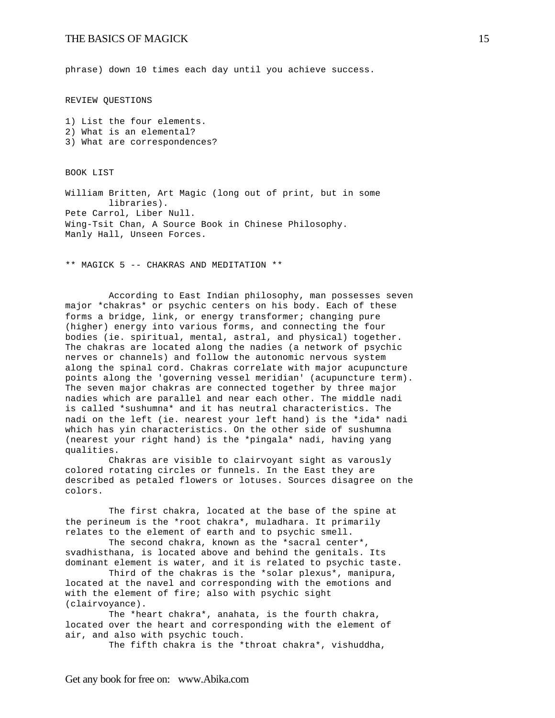phrase) down 10 times each day until you achieve success.

REVIEW QUESTIONS

1) List the four elements. 2) What is an elemental? 3) What are correspondences?

BOOK LIST

William Britten, Art Magic (long out of print, but in some libraries). Pete Carrol, Liber Null. Wing-Tsit Chan, A Source Book in Chinese Philosophy. Manly Hall, Unseen Forces.

\*\* MAGICK 5 -- CHAKRAS AND MEDITATION \*\*

 According to East Indian philosophy, man possesses seven major \*chakras\* or psychic centers on his body. Each of these forms a bridge, link, or energy transformer; changing pure (higher) energy into various forms, and connecting the four bodies (ie. spiritual, mental, astral, and physical) together. The chakras are located along the nadies (a network of psychic nerves or channels) and follow the autonomic nervous system along the spinal cord. Chakras correlate with major acupuncture points along the 'governing vessel meridian' (acupuncture term). The seven major chakras are connected together by three major nadies which are parallel and near each other. The middle nadi is called \*sushumna\* and it has neutral characteristics. The nadi on the left (ie. nearest your left hand) is the \*ida\* nadi which has yin characteristics. On the other side of sushumna (nearest your right hand) is the \*pingala\* nadi, having yang qualities.

 Chakras are visible to clairvoyant sight as varously colored rotating circles or funnels. In the East they are described as petaled flowers or lotuses. Sources disagree on the colors.

 The first chakra, located at the base of the spine at the perineum is the \*root chakra\*, muladhara. It primarily relates to the element of earth and to psychic smell.

 The second chakra, known as the \*sacral center\*, svadhisthana, is located above and behind the genitals. Its dominant element is water, and it is related to psychic taste.

 Third of the chakras is the \*solar plexus\*, manipura, located at the navel and corresponding with the emotions and with the element of fire; also with psychic sight (clairvoyance).

 The \*heart chakra\*, anahata, is the fourth chakra, located over the heart and corresponding with the element of air, and also with psychic touch.

The fifth chakra is the \*throat chakra\*, vishuddha,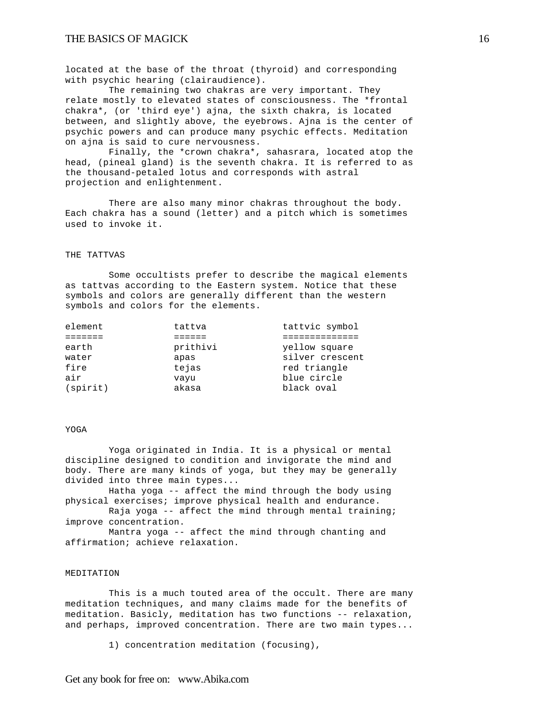located at the base of the throat (thyroid) and corresponding with psychic hearing (clairaudience).

 The remaining two chakras are very important. They relate mostly to elevated states of consciousness. The \*frontal chakra\*, (or 'third eye') ajna, the sixth chakra, is located between, and slightly above, the eyebrows. Ajna is the center of psychic powers and can produce many psychic effects. Meditation on ajna is said to cure nervousness.

 Finally, the \*crown chakra\*, sahasrara, located atop the head, (pineal gland) is the seventh chakra. It is referred to as the thousand-petaled lotus and corresponds with astral projection and enlightenment.

 There are also many minor chakras throughout the body. Each chakra has a sound (letter) and a pitch which is sometimes used to invoke it.

## THE TATTVAS

 Some occultists prefer to describe the magical elements as tattvas according to the Eastern system. Notice that these symbols and colors are generally different than the western symbols and colors for the elements.

| tattva   | tattvic symbol  |
|----------|-----------------|
|          |                 |
| prithivi | yellow square   |
| apas     | silver crescent |
| tejas    | red triangle    |
| vayu     | blue circle     |
| akasa    | black oval      |
|          |                 |

## YOGA

 Yoga originated in India. It is a physical or mental discipline designed to condition and invigorate the mind and body. There are many kinds of yoga, but they may be generally divided into three main types...

 Hatha yoga -- affect the mind through the body using physical exercises; improve physical health and endurance.

 Raja yoga -- affect the mind through mental training; improve concentration.

 Mantra yoga -- affect the mind through chanting and affirmation; achieve relaxation.

## MEDITATION

 This is a much touted area of the occult. There are many meditation techniques, and many claims made for the benefits of meditation. Basicly, meditation has two functions -- relaxation, and perhaps, improved concentration. There are two main types...

1) concentration meditation (focusing),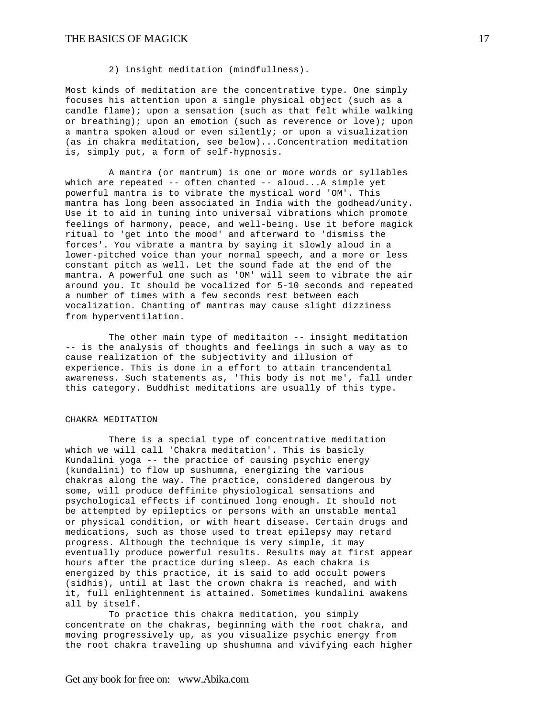2) insight meditation (mindfullness).

Most kinds of meditation are the concentrative type. One simply focuses his attention upon a single physical object (such as a candle flame); upon a sensation (such as that felt while walking or breathing); upon an emotion (such as reverence or love); upon a mantra spoken aloud or even silently; or upon a visualization (as in chakra meditation, see below)...Concentration meditation is, simply put, a form of self-hypnosis.

 A mantra (or mantrum) is one or more words or syllables which are repeated -- often chanted -- aloud...A simple yet powerful mantra is to vibrate the mystical word 'OM'. This mantra has long been associated in India with the godhead/unity. Use it to aid in tuning into universal vibrations which promote feelings of harmony, peace, and well-being. Use it before magick ritual to 'get into the mood' and afterward to 'dismiss the forces'. You vibrate a mantra by saying it slowly aloud in a lower-pitched voice than your normal speech, and a more or less constant pitch as well. Let the sound fade at the end of the mantra. A powerful one such as 'OM' will seem to vibrate the air around you. It should be vocalized for 5-10 seconds and repeated a number of times with a few seconds rest between each vocalization. Chanting of mantras may cause slight dizziness from hyperventilation.

 The other main type of meditaiton -- insight meditation -- is the analysis of thoughts and feelings in such a way as to cause realization of the subjectivity and illusion of experience. This is done in a effort to attain trancendental awareness. Such statements as, 'This body is not me', fall under this category. Buddhist meditations are usually of this type.

## CHAKRA MEDITATION

 There is a special type of concentrative meditation which we will call 'Chakra meditation'. This is basicly Kundalini yoga -- the practice of causing psychic energy (kundalini) to flow up sushumna, energizing the various chakras along the way. The practice, considered dangerous by some, will produce deffinite physiological sensations and psychological effects if continued long enough. It should not be attempted by epileptics or persons with an unstable mental or physical condition, or with heart disease. Certain drugs and medications, such as those used to treat epilepsy may retard progress. Although the technique is very simple, it may eventually produce powerful results. Results may at first appear hours after the practice during sleep. As each chakra is energized by this practice, it is said to add occult powers (sidhis), until at last the crown chakra is reached, and with it, full enlightenment is attained. Sometimes kundalini awakens all by itself.

 To practice this chakra meditation, you simply concentrate on the chakras, beginning with the root chakra, and moving progressively up, as you visualize psychic energy from the root chakra traveling up shushumna and vivifying each higher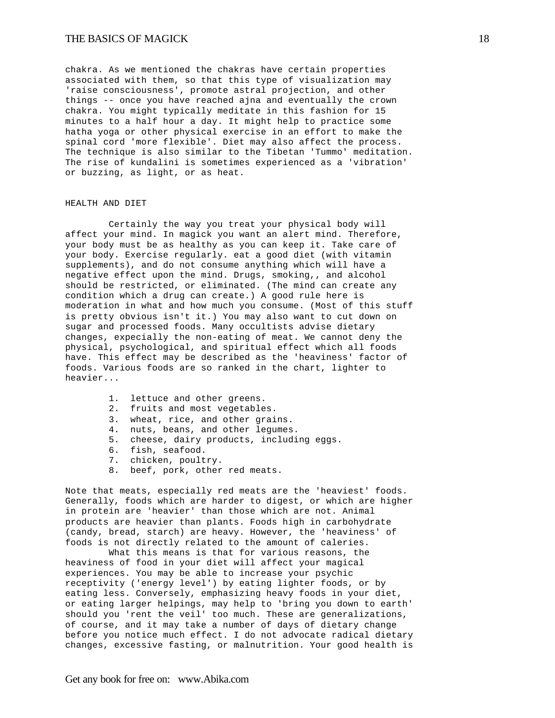chakra. As we mentioned the chakras have certain properties associated with them, so that this type of visualization may 'raise consciousness', promote astral projection, and other things -- once you have reached ajna and eventually the crown chakra. You might typically meditate in this fashion for 15 minutes to a half hour a day. It might help to practice some hatha yoga or other physical exercise in an effort to make the spinal cord 'more flexible'. Diet may also affect the process. The technique is also similar to the Tibetan 'Tummo' meditation. The rise of kundalini is sometimes experienced as a 'vibration' or buzzing, as light, or as heat.

## HEALTH AND DIET

 Certainly the way you treat your physical body will affect your mind. In magick you want an alert mind. Therefore, your body must be as healthy as you can keep it. Take care of your body. Exercise regularly. eat a good diet (with vitamin supplements), and do not consume anything which will have a negative effect upon the mind. Drugs, smoking,, and alcohol should be restricted, or eliminated. (The mind can create any condition which a drug can create.) A good rule here is moderation in what and how much you consume. (Most of this stuff is pretty obvious isn't it.) You may also want to cut down on sugar and processed foods. Many occultists advise dietary changes, expecially the non-eating of meat. We cannot deny the physical, psychological, and spiritual effect which all foods have. This effect may be described as the 'heaviness' factor of foods. Various foods are so ranked in the chart, lighter to heavier...

- 1. lettuce and other greens.
- 2. fruits and most vegetables.
- 3. wheat, rice, and other grains.
- 4. nuts, beans, and other legumes.
- 5. cheese, dairy products, including eggs.
- 6. fish, seafood.
- 7. chicken, poultry.
- 8. beef, pork, other red meats.

Note that meats, especially red meats are the 'heaviest' foods. Generally, foods which are harder to digest, or which are higher in protein are 'heavier' than those which are not. Animal products are heavier than plants. Foods high in carbohydrate (candy, bread, starch) are heavy. However, the 'heaviness' of foods is not directly related to the amount of caleries.

 What this means is that for various reasons, the heaviness of food in your diet will affect your magical experiences. You may be able to increase your psychic receptivity ('energy level') by eating lighter foods, or by eating less. Conversely, emphasizing heavy foods in your diet, or eating larger helpings, may help to 'bring you down to earth' should you 'rent the veil' too much. These are generalizations, of course, and it may take a number of days of dietary change before you notice much effect. I do not advocate radical dietary changes, excessive fasting, or malnutrition. Your good health is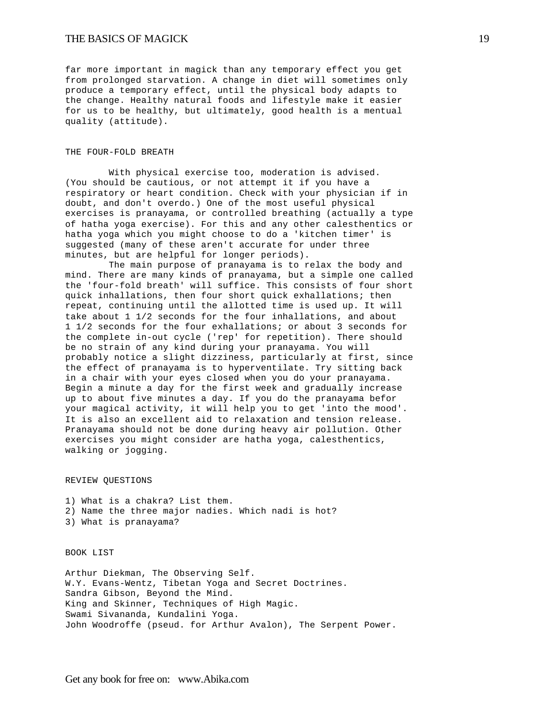far more important in magick than any temporary effect you get from prolonged starvation. A change in diet will sometimes only produce a temporary effect, until the physical body adapts to the change. Healthy natural foods and lifestyle make it easier for us to be healthy, but ultimately, good health is a mentual quality (attitude).

#### THE FOUR-FOLD BREATH

 With physical exercise too, moderation is advised. (You should be cautious, or not attempt it if you have a respiratory or heart condition. Check with your physician if in doubt, and don't overdo.) One of the most useful physical exercises is pranayama, or controlled breathing (actually a type of hatha yoga exercise). For this and any other calesthentics or hatha yoga which you might choose to do a 'kitchen timer' is suggested (many of these aren't accurate for under three minutes, but are helpful for longer periods).

 The main purpose of pranayama is to relax the body and mind. There are many kinds of pranayama, but a simple one called the 'four-fold breath' will suffice. This consists of four short quick inhallations, then four short quick exhallations; then repeat, continuing until the allotted time is used up. It will take about 1 1/2 seconds for the four inhallations, and about 1 1/2 seconds for the four exhallations; or about 3 seconds for the complete in-out cycle ('rep' for repetition). There should be no strain of any kind during your pranayama. You will probably notice a slight dizziness, particularly at first, since the effect of pranayama is to hyperventilate. Try sitting back in a chair with your eyes closed when you do your pranayama. Begin a minute a day for the first week and gradually increase up to about five minutes a day. If you do the pranayama befor your magical activity, it will help you to get 'into the mood'. It is also an excellent aid to relaxation and tension release. Pranayama should not be done during heavy air pollution. Other exercises you might consider are hatha yoga, calesthentics, walking or jogging.

#### REVIEW QUESTIONS

1) What is a chakra? List them. 2) Name the three major nadies. Which nadi is hot? 3) What is pranayama?

BOOK LIST

Arthur Diekman, The Observing Self. W.Y. Evans-Wentz, Tibetan Yoga and Secret Doctrines. Sandra Gibson, Beyond the Mind. King and Skinner, Techniques of High Magic. Swami Sivananda, Kundalini Yoga. John Woodroffe (pseud. for Arthur Avalon), The Serpent Power.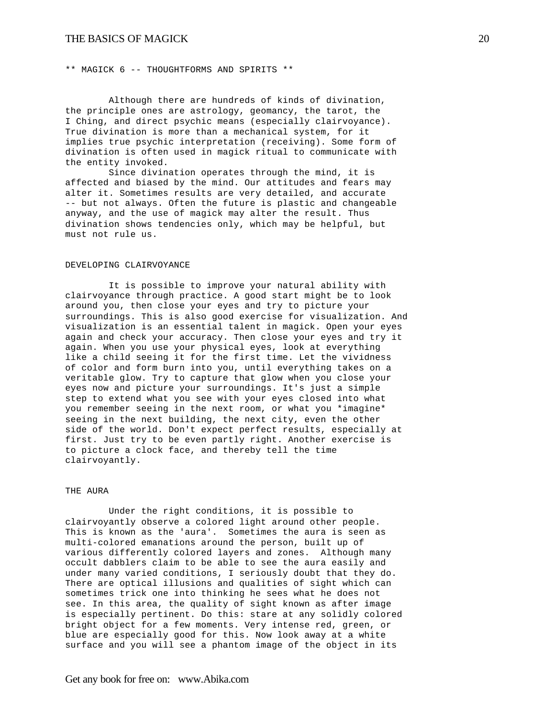\*\* MAGICK 6 -- THOUGHTFORMS AND SPIRITS \*\*

 Although there are hundreds of kinds of divination, the principle ones are astrology, geomancy, the tarot, the I Ching, and direct psychic means (especially clairvoyance). True divination is more than a mechanical system, for it implies true psychic interpretation (receiving). Some form of divination is often used in magick ritual to communicate with the entity invoked.

 Since divination operates through the mind, it is affected and biased by the mind. Our attitudes and fears may alter it. Sometimes results are very detailed, and accurate -- but not always. Often the future is plastic and changeable anyway, and the use of magick may alter the result. Thus divination shows tendencies only, which may be helpful, but must not rule us.

## DEVELOPING CLAIRVOYANCE

 It is possible to improve your natural ability with clairvoyance through practice. A good start might be to look around you, then close your eyes and try to picture your surroundings. This is also good exercise for visualization. And visualization is an essential talent in magick. Open your eyes again and check your accuracy. Then close your eyes and try it again. When you use your physical eyes, look at everything like a child seeing it for the first time. Let the vividness of color and form burn into you, until everything takes on a veritable glow. Try to capture that glow when you close your eyes now and picture your surroundings. It's just a simple step to extend what you see with your eyes closed into what you remember seeing in the next room, or what you \*imagine\* seeing in the next building, the next city, even the other side of the world. Don't expect perfect results, especially at first. Just try to be even partly right. Another exercise is to picture a clock face, and thereby tell the time clairvoyantly.

#### THE AURA

 Under the right conditions, it is possible to clairvoyantly observe a colored light around other people. This is known as the 'aura'. Sometimes the aura is seen as multi-colored emanations around the person, built up of various differently colored layers and zones. Although many occult dabblers claim to be able to see the aura easily and under many varied conditions, I seriously doubt that they do. There are optical illusions and qualities of sight which can sometimes trick one into thinking he sees what he does not see. In this area, the quality of sight known as after image is especially pertinent. Do this: stare at any solidly colored bright object for a few moments. Very intense red, green, or blue are especially good for this. Now look away at a white surface and you will see a phantom image of the object in its

Get any book for free on: www.Abika.com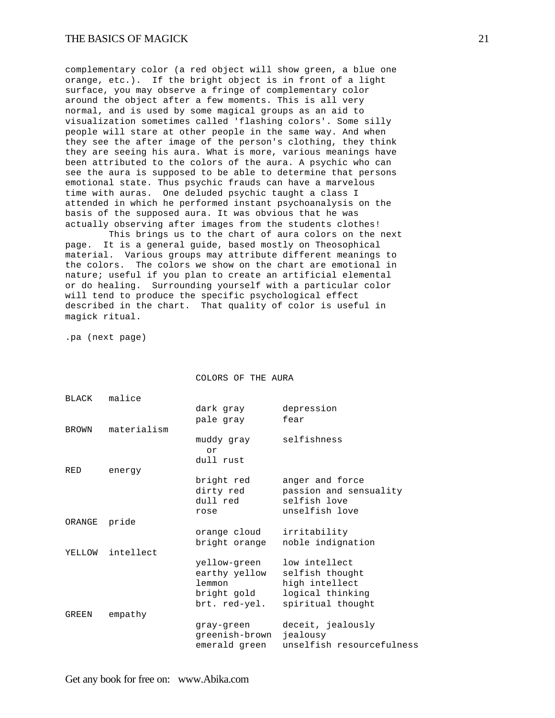complementary color (a red object will show green, a blue one orange, etc.). If the bright object is in front of a light surface, you may observe a fringe of complementary color around the object after a few moments. This is all very normal, and is used by some magical groups as an aid to visualization sometimes called 'flashing colors'. Some silly people will stare at other people in the same way. And when they see the after image of the person's clothing, they think they are seeing his aura. What is more, various meanings have been attributed to the colors of the aura. A psychic who can see the aura is supposed to be able to determine that persons emotional state. Thus psychic frauds can have a marvelous time with auras. One deluded psychic taught a class I attended in which he performed instant psychoanalysis on the basis of the supposed aura. It was obvious that he was actually observing after images from the students clothes!

 This brings us to the chart of aura colors on the next page. It is a general guide, based mostly on Theosophical material. Various groups may attribute different meanings to the colors. The colors we show on the chart are emotional in nature; useful if you plan to create an artificial elemental or do healing. Surrounding yourself with a particular color will tend to produce the specific psychological effect described in the chart. That quality of color is useful in magick ritual.

.pa (next page)

COLORS OF THE AURA

| BLACK        | malice           |                                                                         |                                                                                             |
|--------------|------------------|-------------------------------------------------------------------------|---------------------------------------------------------------------------------------------|
|              |                  | dark gray                                                               | depression                                                                                  |
|              |                  | pale qray                                                               | fear                                                                                        |
| BROWN        | materialism      |                                                                         |                                                                                             |
|              |                  | muddy gray<br>or                                                        | selfishness                                                                                 |
|              |                  | dull rust                                                               |                                                                                             |
| RED          | energy           |                                                                         |                                                                                             |
|              |                  | bright red<br>dirty red<br>dull red<br>rose                             | anger and force<br>passion and sensuality<br>selfish love<br>unselfish love                 |
| ORANGE pride |                  |                                                                         |                                                                                             |
|              |                  | orange cloud<br>bright orange                                           | irritability<br>noble indignation                                                           |
|              | YELLOW intellect |                                                                         |                                                                                             |
|              |                  | yellow-green<br>earthy yellow<br>lemmon<br>bright gold<br>brt. red-yel. | low intellect<br>selfish thought<br>high intellect<br>logical thinking<br>spiritual thought |
| GREEN        | empathy          |                                                                         |                                                                                             |
|              |                  | qray-qreen<br>greenish-brown<br>emerald green                           | deceit, jealously<br>jealousy<br>unselfish resourcefulness                                  |

21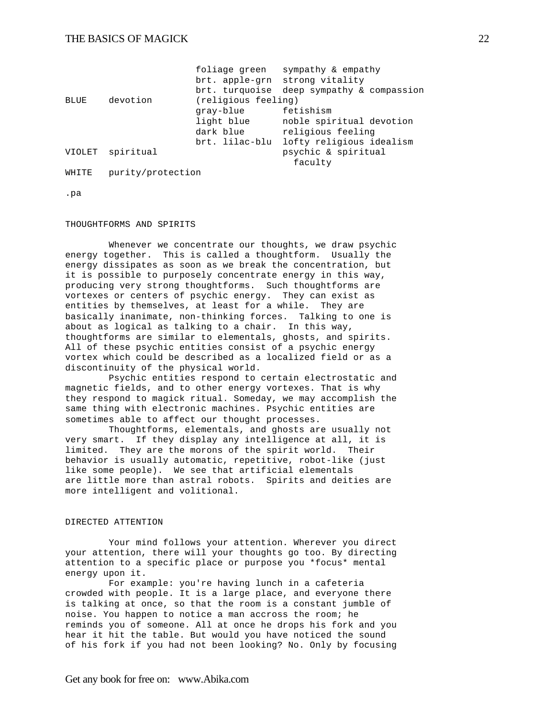foliage green sympathy & empathy brt. apple-grn strong vitality brt. turquoise deep sympathy & compassion BLUE devotion (religious feeling) gray-blue fetishism light blue noble spiritual devotion dark blue religious feeling brt. lilac-blu lofty religious idealism VIOLET spiritual psychic & spiritual faculty

WHITE purity/protection

.pa

#### THOUGHTFORMS AND SPIRITS

 Whenever we concentrate our thoughts, we draw psychic energy together. This is called a thoughtform. Usually the energy dissipates as soon as we break the concentration, but it is possible to purposely concentrate energy in this way, producing very strong thoughtforms. Such thoughtforms are vortexes or centers of psychic energy. They can exist as entities by themselves, at least for a while. They are basically inanimate, non-thinking forces. Talking to one is about as logical as talking to a chair. In this way, thoughtforms are similar to elementals, ghosts, and spirits. All of these psychic entities consist of a psychic energy vortex which could be described as a localized field or as a discontinuity of the physical world.

 Psychic entities respond to certain electrostatic and magnetic fields, and to other energy vortexes. That is why they respond to magick ritual. Someday, we may accomplish the same thing with electronic machines. Psychic entities are sometimes able to affect our thought processes.

 Thoughtforms, elementals, and ghosts are usually not very smart. If they display any intelligence at all, it is limited. They are the morons of the spirit world. Their behavior is usually automatic, repetitive, robot-like (just like some people). We see that artificial elementals are little more than astral robots. Spirits and deities are more intelligent and volitional.

## DIRECTED ATTENTION

 Your mind follows your attention. Wherever you direct your attention, there will your thoughts go too. By directing attention to a specific place or purpose you \*focus\* mental energy upon it.

 For example: you're having lunch in a cafeteria crowded with people. It is a large place, and everyone there is talking at once, so that the room is a constant jumble of noise. You happen to notice a man accross the room; he reminds you of someone. All at once he drops his fork and you hear it hit the table. But would you have noticed the sound of his fork if you had not been looking? No. Only by focusing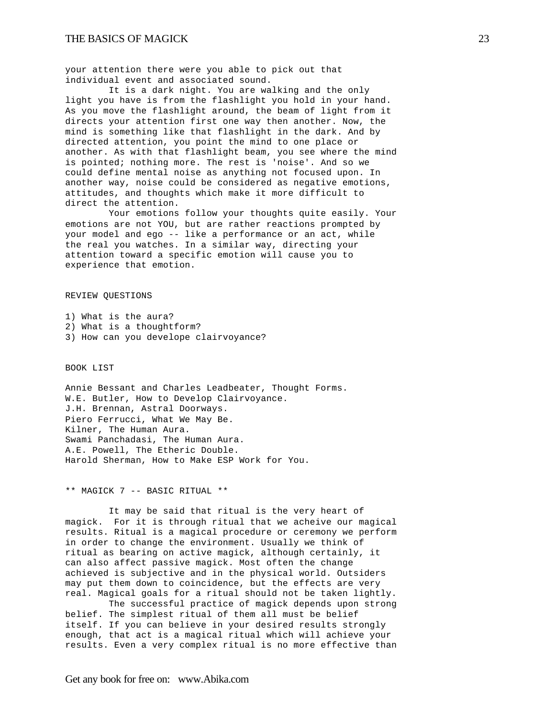your attention there were you able to pick out that individual event and associated sound.

 It is a dark night. You are walking and the only light you have is from the flashlight you hold in your hand. As you move the flashlight around, the beam of light from it directs your attention first one way then another. Now, the mind is something like that flashlight in the dark. And by directed attention, you point the mind to one place or another. As with that flashlight beam, you see where the mind is pointed; nothing more. The rest is 'noise'. And so we could define mental noise as anything not focused upon. In another way, noise could be considered as negative emotions, attitudes, and thoughts which make it more difficult to direct the attention.

 Your emotions follow your thoughts quite easily. Your emotions are not YOU, but are rather reactions prompted by your model and ego -- like a performance or an act, while the real you watches. In a similar way, directing your attention toward a specific emotion will cause you to experience that emotion.

#### REVIEW QUESTIONS

1) What is the aura? 2) What is a thoughtform? 3) How can you develope clairvoyance?

BOOK LIST

Annie Bessant and Charles Leadbeater, Thought Forms. W.E. Butler, How to Develop Clairvoyance. J.H. Brennan, Astral Doorways. Piero Ferrucci, What We May Be. Kilner, The Human Aura. Swami Panchadasi, The Human Aura. A.E. Powell, The Etheric Double. Harold Sherman, How to Make ESP Work for You.

#### \*\* MAGICK 7 -- BASIC RITUAL \*\*

 It may be said that ritual is the very heart of magick. For it is through ritual that we acheive our magical results. Ritual is a magical procedure or ceremony we perform in order to change the environment. Usually we think of ritual as bearing on active magick, although certainly, it can also affect passive magick. Most often the change achieved is subjective and in the physical world. Outsiders may put them down to coincidence, but the effects are very real. Magical goals for a ritual should not be taken lightly.

 The successful practice of magick depends upon strong belief. The simplest ritual of them all must be belief itself. If you can believe in your desired results strongly enough, that act is a magical ritual which will achieve your results. Even a very complex ritual is no more effective than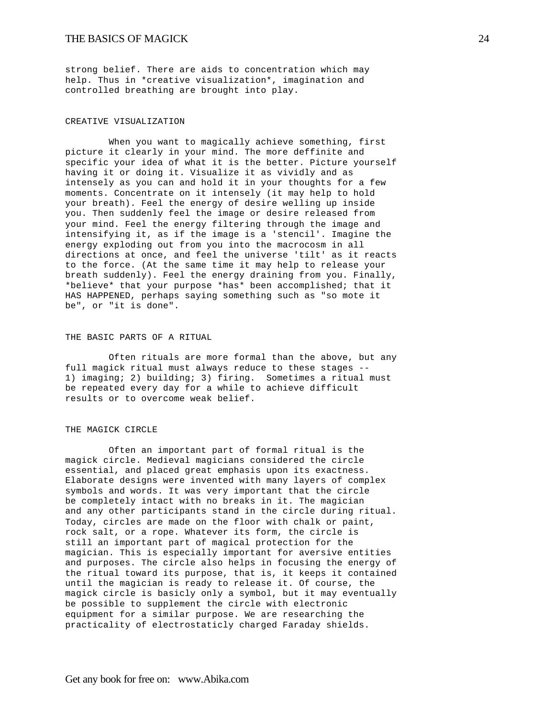strong belief. There are aids to concentration which may help. Thus in \*creative visualization\*, imagination and controlled breathing are brought into play.

#### CREATIVE VISUALIZATION

 When you want to magically achieve something, first picture it clearly in your mind. The more deffinite and specific your idea of what it is the better. Picture yourself having it or doing it. Visualize it as vividly and as intensely as you can and hold it in your thoughts for a few moments. Concentrate on it intensely (it may help to hold your breath). Feel the energy of desire welling up inside you. Then suddenly feel the image or desire released from your mind. Feel the energy filtering through the image and intensifying it, as if the image is a 'stencil'. Imagine the energy exploding out from you into the macrocosm in all directions at once, and feel the universe 'tilt' as it reacts to the force. (At the same time it may help to release your breath suddenly). Feel the energy draining from you. Finally, \*believe\* that your purpose \*has\* been accomplished; that it HAS HAPPENED, perhaps saying something such as "so mote it be", or "it is done".

#### THE BASIC PARTS OF A RITUAL

 Often rituals are more formal than the above, but any full magick ritual must always reduce to these stages -- 1) imaging; 2) building; 3) firing. Sometimes a ritual must be repeated every day for a while to achieve difficult results or to overcome weak belief.

## THE MAGICK CIRCLE

 Often an important part of formal ritual is the magick circle. Medieval magicians considered the circle essential, and placed great emphasis upon its exactness. Elaborate designs were invented with many layers of complex symbols and words. It was very important that the circle be completely intact with no breaks in it. The magician and any other participants stand in the circle during ritual. Today, circles are made on the floor with chalk or paint, rock salt, or a rope. Whatever its form, the circle is still an important part of magical protection for the magician. This is especially important for aversive entities and purposes. The circle also helps in focusing the energy of the ritual toward its purpose, that is, it keeps it contained until the magician is ready to release it. Of course, the magick circle is basicly only a symbol, but it may eventually be possible to supplement the circle with electronic equipment for a similar purpose. We are researching the practicality of electrostaticly charged Faraday shields.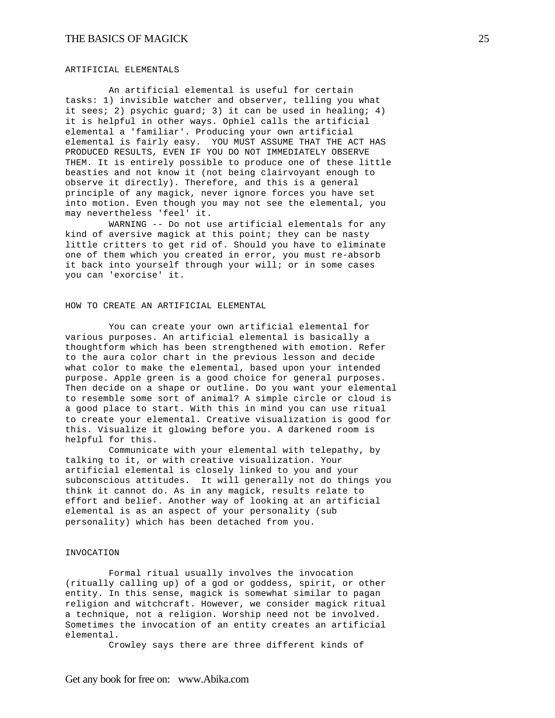## ARTIFICIAL ELEMENTALS

 An artificial elemental is useful for certain tasks: 1) invisible watcher and observer, telling you what it sees; 2) psychic guard; 3) it can be used in healing; 4) it is helpful in other ways. Ophiel calls the artificial elemental a 'familiar'. Producing your own artificial elemental is fairly easy. YOU MUST ASSUME THAT THE ACT HAS PRODUCED RESULTS, EVEN IF YOU DO NOT IMMEDIATELY OBSERVE THEM. It is entirely possible to produce one of these little beasties and not know it (not being clairvoyant enough to observe it directly). Therefore, and this is a general principle of any magick, never ignore forces you have set into motion. Even though you may not see the elemental, you may nevertheless 'feel' it.

 WARNING -- Do not use artificial elementals for any kind of aversive magick at this point; they can be nasty little critters to get rid of. Should you have to eliminate one of them which you created in error, you must re-absorb it back into yourself through your will; or in some cases you can 'exorcise' it.

#### HOW TO CREATE AN ARTIFICIAL ELEMENTAL

 You can create your own artificial elemental for various purposes. An artificial elemental is basically a thoughtform which has been strengthened with emotion. Refer to the aura color chart in the previous lesson and decide what color to make the elemental, based upon your intended purpose. Apple green is a good choice for general purposes. Then decide on a shape or outline. Do you want your elemental to resemble some sort of animal? A simple circle or cloud is a good place to start. With this in mind you can use ritual to create your elemental. Creative visualization is good for this. Visualize it glowing before you. A darkened room is helpful for this.

 Communicate with your elemental with telepathy, by talking to it, or with creative visualization. Your artificial elemental is closely linked to you and your subconscious attitudes. It will generally not do things you think it cannot do. As in any magick, results relate to effort and belief. Another way of looking at an artificial elemental is as an aspect of your personality (sub personality) which has been detached from you.

## INVOCATION

 Formal ritual usually involves the invocation (ritually calling up) of a god or goddess, spirit, or other entity. In this sense, magick is somewhat similar to pagan religion and witchcraft. However, we consider magick ritual a technique, not a religion. Worship need not be involved. Sometimes the invocation of an entity creates an artificial elemental.

Crowley says there are three different kinds of

25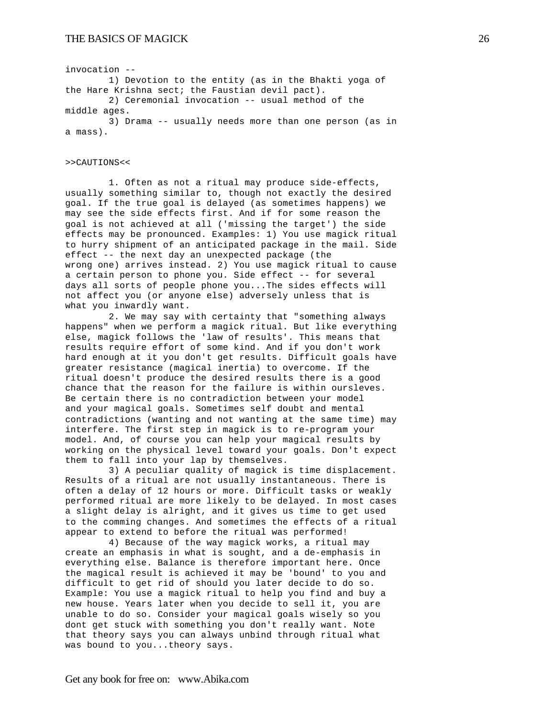invocation -- 1) Devotion to the entity (as in the Bhakti yoga of the Hare Krishna sect; the Faustian devil pact). 2) Ceremonial invocation -- usual method of the middle ages. 3) Drama -- usually needs more than one person (as in a mass).

#### >>CAUTIONS<<

 1. Often as not a ritual may produce side-effects, usually something similar to, though not exactly the desired goal. If the true goal is delayed (as sometimes happens) we may see the side effects first. And if for some reason the goal is not achieved at all ('missing the target') the side effects may be pronounced. Examples: 1) You use magick ritual to hurry shipment of an anticipated package in the mail. Side effect -- the next day an unexpected package (the wrong one) arrives instead. 2) You use magick ritual to cause a certain person to phone you. Side effect -- for several days all sorts of people phone you...The sides effects will not affect you (or anyone else) adversely unless that is what you inwardly want.

 2. We may say with certainty that "something always happens" when we perform a magick ritual. But like everything else, magick follows the 'law of results'. This means that results require effort of some kind. And if you don't work hard enough at it you don't get results. Difficult goals have greater resistance (magical inertia) to overcome. If the ritual doesn't produce the desired results there is a good chance that the reason for the failure is within oursleves. Be certain there is no contradiction between your model and your magical goals. Sometimes self doubt and mental contradictions (wanting and not wanting at the same time) may interfere. The first step in magick is to re-program your model. And, of course you can help your magical results by working on the physical level toward your goals. Don't expect them to fall into your lap by themselves.

 3) A peculiar quality of magick is time displacement. Results of a ritual are not usually instantaneous. There is often a delay of 12 hours or more. Difficult tasks or weakly performed ritual are more likely to be delayed. In most cases a slight delay is alright, and it gives us time to get used to the comming changes. And sometimes the effects of a ritual appear to extend to before the ritual was performed!

 4) Because of the way magick works, a ritual may create an emphasis in what is sought, and a de-emphasis in everything else. Balance is therefore important here. Once the magical result is achieved it may be 'bound' to you and difficult to get rid of should you later decide to do so. Example: You use a magick ritual to help you find and buy a new house. Years later when you decide to sell it, you are unable to do so. Consider your magical goals wisely so you dont get stuck with something you don't really want. Note that theory says you can always unbind through ritual what was bound to you...theory says.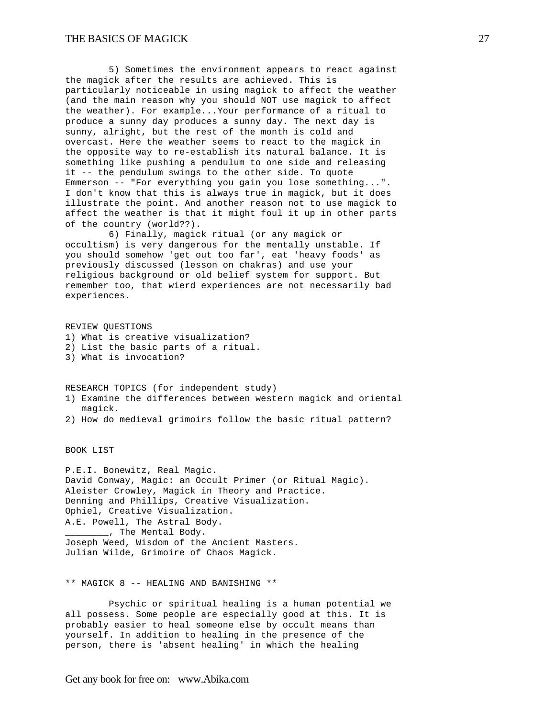5) Sometimes the environment appears to react against the magick after the results are achieved. This is particularly noticeable in using magick to affect the weather (and the main reason why you should NOT use magick to affect the weather). For example...Your performance of a ritual to produce a sunny day produces a sunny day. The next day is sunny, alright, but the rest of the month is cold and overcast. Here the weather seems to react to the magick in the opposite way to re-establish its natural balance. It is something like pushing a pendulum to one side and releasing it -- the pendulum swings to the other side. To quote Emmerson -- "For everything you gain you lose something...". I don't know that this is always true in magick, but it does illustrate the point. And another reason not to use magick to affect the weather is that it might foul it up in other parts of the country (world??).

 6) Finally, magick ritual (or any magick or occultism) is very dangerous for the mentally unstable. If you should somehow 'get out too far', eat 'heavy foods' as previously discussed (lesson on chakras) and use your religious background or old belief system for support. But remember too, that wierd experiences are not necessarily bad experiences.

REVIEW QUESTIONS

1) What is creative visualization?

- 2) List the basic parts of a ritual.
- 3) What is invocation?

RESEARCH TOPICS (for independent study) 1) Examine the differences between western magick and oriental magick.

2) How do medieval grimoirs follow the basic ritual pattern?

BOOK LIST

P.E.I. Bonewitz, Real Magic. David Conway, Magic: an Occult Primer (or Ritual Magic). Aleister Crowley, Magick in Theory and Practice. Denning and Phillips, Creative Visualization. Ophiel, Creative Visualization. A.E. Powell, The Astral Body. \_\_\_\_\_\_\_\_, The Mental Body. Joseph Weed, Wisdom of the Ancient Masters. Julian Wilde, Grimoire of Chaos Magick.

\*\* MAGICK 8 -- HEALING AND BANISHING \*\*

 Psychic or spiritual healing is a human potential we all possess. Some people are especially good at this. It is probably easier to heal someone else by occult means than yourself. In addition to healing in the presence of the person, there is 'absent healing' in which the healing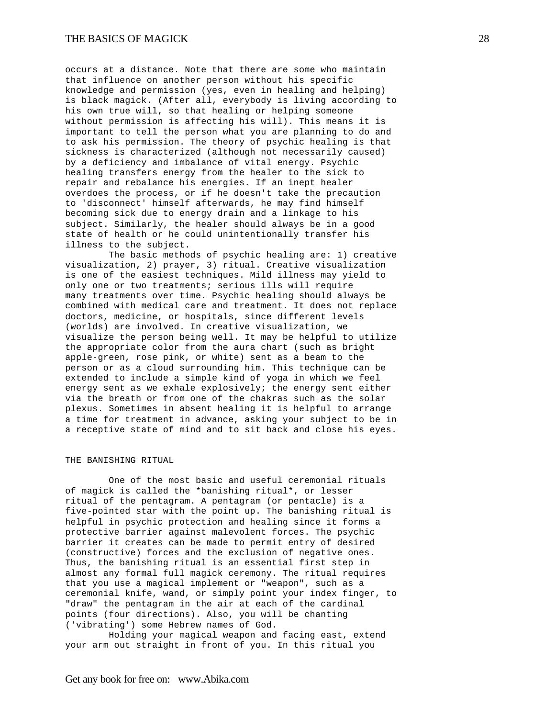occurs at a distance. Note that there are some who maintain that influence on another person without his specific knowledge and permission (yes, even in healing and helping) is black magick. (After all, everybody is living according to his own true will, so that healing or helping someone without permission is affecting his will). This means it is important to tell the person what you are planning to do and to ask his permission. The theory of psychic healing is that sickness is characterized (although not necessarily caused) by a deficiency and imbalance of vital energy. Psychic healing transfers energy from the healer to the sick to repair and rebalance his energies. If an inept healer overdoes the process, or if he doesn't take the precaution to 'disconnect' himself afterwards, he may find himself becoming sick due to energy drain and a linkage to his subject. Similarly, the healer should always be in a good state of health or he could unintentionally transfer his illness to the subject.

 The basic methods of psychic healing are: 1) creative visualization, 2) prayer, 3) ritual. Creative visualization is one of the easiest techniques. Mild illness may yield to only one or two treatments; serious ills will require many treatments over time. Psychic healing should always be combined with medical care and treatment. It does not replace doctors, medicine, or hospitals, since different levels (worlds) are involved. In creative visualization, we visualize the person being well. It may be helpful to utilize the appropriate color from the aura chart (such as bright apple-green, rose pink, or white) sent as a beam to the person or as a cloud surrounding him. This technique can be extended to include a simple kind of yoga in which we feel energy sent as we exhale explosively; the energy sent either via the breath or from one of the chakras such as the solar plexus. Sometimes in absent healing it is helpful to arrange a time for treatment in advance, asking your subject to be in a receptive state of mind and to sit back and close his eyes.

## THE BANISHING RITUAL

 One of the most basic and useful ceremonial rituals of magick is called the \*banishing ritual\*, or lesser ritual of the pentagram. A pentagram (or pentacle) is a five-pointed star with the point up. The banishing ritual is helpful in psychic protection and healing since it forms a protective barrier against malevolent forces. The psychic barrier it creates can be made to permit entry of desired (constructive) forces and the exclusion of negative ones. Thus, the banishing ritual is an essential first step in almost any formal full magick ceremony. The ritual requires that you use a magical implement or "weapon", such as a ceremonial knife, wand, or simply point your index finger, to "draw" the pentagram in the air at each of the cardinal points (four directions). Also, you will be chanting ('vibrating') some Hebrew names of God.

 Holding your magical weapon and facing east, extend your arm out straight in front of you. In this ritual you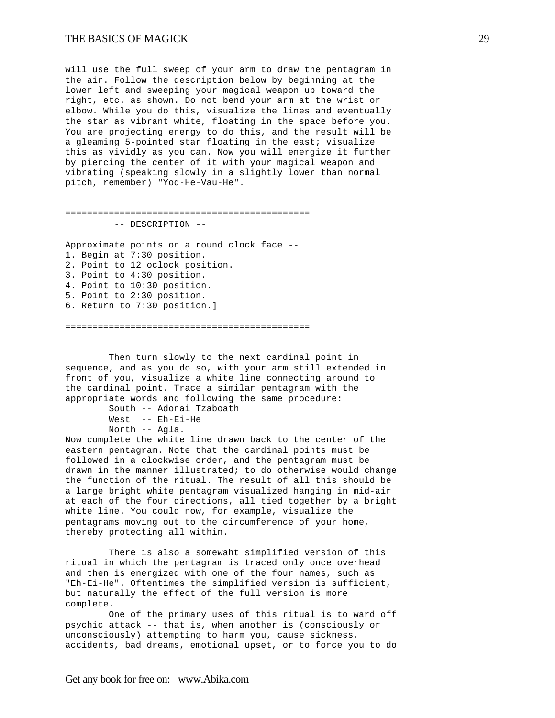will use the full sweep of your arm to draw the pentagram in the air. Follow the description below by beginning at the lower left and sweeping your magical weapon up toward the right, etc. as shown. Do not bend your arm at the wrist or elbow. While you do this, visualize the lines and eventually the star as vibrant white, floating in the space before you. You are projecting energy to do this, and the result will be a gleaming 5-pointed star floating in the east; visualize this as vividly as you can. Now you will energize it further by piercing the center of it with your magical weapon and vibrating (speaking slowly in a slightly lower than normal pitch, remember) "Yod-He-Vau-He".

```
=============================================
          -- DESCRIPTION --
Approximate points on a round clock face --
1. Begin at 7:30 position.
2. Point to 12 oclock position. 
3. Point to 4:30 position.
```
4. Point to 10:30 position.

5. Point to 2:30 position.

6. Return to 7:30 position.]

=============================================

 Then turn slowly to the next cardinal point in sequence, and as you do so, with your arm still extended in front of you, visualize a white line connecting around to the cardinal point. Trace a similar pentagram with the appropriate words and following the same procedure:

```
 South -- Adonai Tzaboath
 West -- Eh-Ei-He
```
 North -- Agla. Now complete the white line drawn back to the center of the eastern pentagram. Note that the cardinal points must be followed in a clockwise order, and the pentagram must be drawn in the manner illustrated; to do otherwise would change the function of the ritual. The result of all this should be a large bright white pentagram visualized hanging in mid-air at each of the four directions, all tied together by a bright

white line. You could now, for example, visualize the pentagrams moving out to the circumference of your home, thereby protecting all within.

 There is also a somewaht simplified version of this ritual in which the pentagram is traced only once overhead and then is energized with one of the four names, such as "Eh-Ei-He". Oftentimes the simplified version is sufficient, but naturally the effect of the full version is more complete.

 One of the primary uses of this ritual is to ward off psychic attack -- that is, when another is (consciously or unconsciously) attempting to harm you, cause sickness, accidents, bad dreams, emotional upset, or to force you to do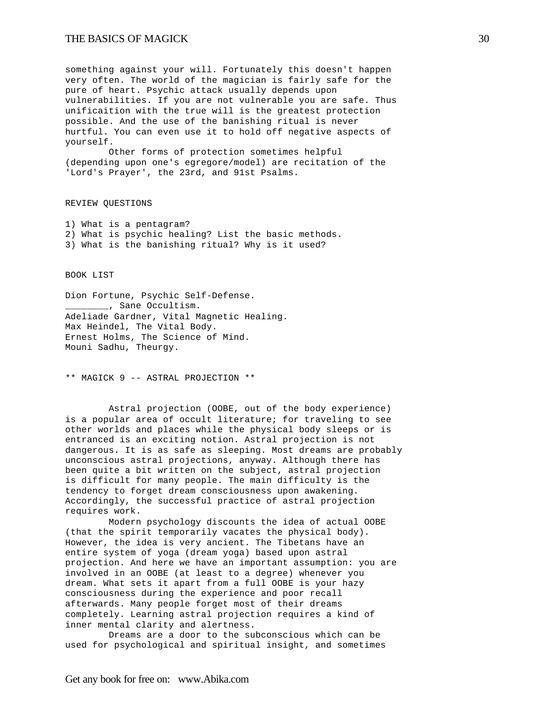something against your will. Fortunately this doesn't happen very often. The world of the magician is fairly safe for the pure of heart. Psychic attack usually depends upon vulnerabilities. If you are not vulnerable you are safe. Thus unificaition with the true will is the greatest protection possible. And the use of the banishing ritual is never hurtful. You can even use it to hold off negative aspects of yourself.

 Other forms of protection sometimes helpful (depending upon one's egregore/model) are recitation of the 'Lord's Prayer', the 23rd, and 91st Psalms.

REVIEW QUESTIONS

1) What is a pentagram? 2) What is psychic healing? List the basic methods. 3) What is the banishing ritual? Why is it used?

BOOK LIST

Dion Fortune, Psychic Self-Defense. \_\_\_\_\_\_\_\_, Sane Occultism. Adeliade Gardner, Vital Magnetic Healing. Max Heindel, The Vital Body. Ernest Holms, The Science of Mind. Mouni Sadhu, Theurgy.

\*\* MAGICK 9 -- ASTRAL PROJECTION \*\*

 Astral projection (OOBE, out of the body experience) is a popular area of occult literature; for traveling to see other worlds and places while the physical body sleeps or is entranced is an exciting notion. Astral projection is not dangerous. It is as safe as sleeping. Most dreams are probably unconscious astral projections, anyway. Although there has been quite a bit written on the subject, astral projection is difficult for many people. The main difficulty is the tendency to forget dream consciousness upon awakening. Accordingly, the successful practice of astral projection requires work.

 Modern psychology discounts the idea of actual OOBE (that the spirit temporarily vacates the physical body). However, the idea is very ancient. The Tibetans have an entire system of yoga (dream yoga) based upon astral projection. And here we have an important assumption: you are involved in an OOBE (at least to a degree) whenever you dream. What sets it apart from a full OOBE is your hazy consciousness during the experience and poor recall afterwards. Many people forget most of their dreams completely. Learning astral projection requires a kind of inner mental clarity and alertness.

 Dreams are a door to the subconscious which can be used for psychological and spiritual insight, and sometimes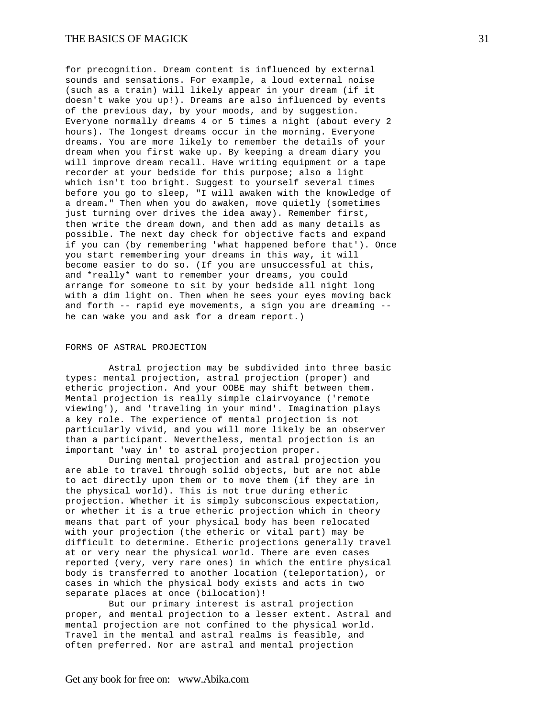for precognition. Dream content is influenced by external sounds and sensations. For example, a loud external noise (such as a train) will likely appear in your dream (if it doesn't wake you up!). Dreams are also influenced by events of the previous day, by your moods, and by suggestion. Everyone normally dreams 4 or 5 times a night (about every 2 hours). The longest dreams occur in the morning. Everyone dreams. You are more likely to remember the details of your dream when you first wake up. By keeping a dream diary you will improve dream recall. Have writing equipment or a tape recorder at your bedside for this purpose; also a light which isn't too bright. Suggest to yourself several times before you go to sleep, "I will awaken with the knowledge of a dream." Then when you do awaken, move quietly (sometimes just turning over drives the idea away). Remember first, then write the dream down, and then add as many details as possible. The next day check for objective facts and expand if you can (by remembering 'what happened before that'). Once you start remembering your dreams in this way, it will become easier to do so. (If you are unsuccessful at this, and \*really\* want to remember your dreams, you could arrange for someone to sit by your bedside all night long with a dim light on. Then when he sees your eyes moving back and forth -- rapid eye movements, a sign you are dreaming - he can wake you and ask for a dream report.)

## FORMS OF ASTRAL PROJECTION

 Astral projection may be subdivided into three basic types: mental projection, astral projection (proper) and etheric projection. And your OOBE may shift between them. Mental projection is really simple clairvoyance ('remote viewing'), and 'traveling in your mind'. Imagination plays a key role. The experience of mental projection is not particularly vivid, and you will more likely be an observer than a participant. Nevertheless, mental projection is an important 'way in' to astral projection proper.

 During mental projection and astral projection you are able to travel through solid objects, but are not able to act directly upon them or to move them (if they are in the physical world). This is not true during etheric projection. Whether it is simply subconscious expectation, or whether it is a true etheric projection which in theory means that part of your physical body has been relocated with your projection (the etheric or vital part) may be difficult to determine. Etheric projections generally travel at or very near the physical world. There are even cases reported (very, very rare ones) in which the entire physical body is transferred to another location (teleportation), or cases in which the physical body exists and acts in two separate places at once (bilocation)!

 But our primary interest is astral projection proper, and mental projection to a lesser extent. Astral and mental projection are not confined to the physical world. Travel in the mental and astral realms is feasible, and often preferred. Nor are astral and mental projection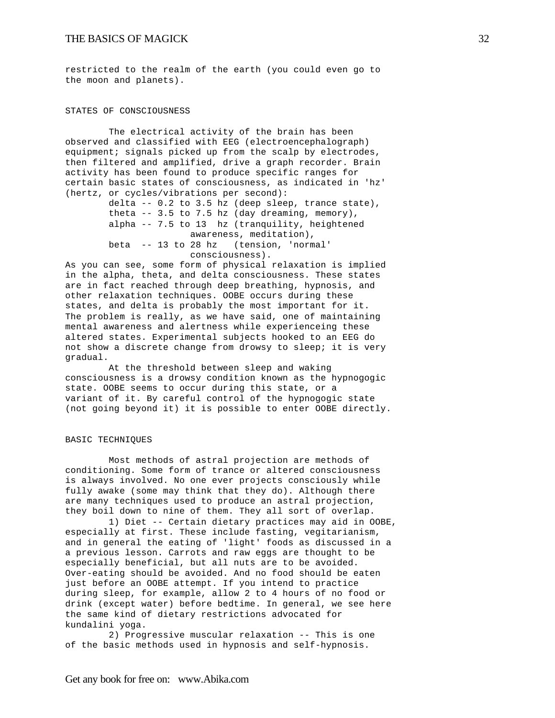restricted to the realm of the earth (you could even go to the moon and planets).

# STATES OF CONSCIOUSNESS

 The electrical activity of the brain has been observed and classified with EEG (electroencephalograph) equipment; signals picked up from the scalp by electrodes, then filtered and amplified, drive a graph recorder. Brain activity has been found to produce specific ranges for certain basic states of consciousness, as indicated in 'hz' (hertz, or cycles/vibrations per second):

> delta -- 0.2 to 3.5 hz (deep sleep, trance state), theta -- 3.5 to 7.5 hz (day dreaming, memory), alpha -- 7.5 to 13 hz (tranquility, heightened awareness, meditation), beta -- 13 to 28 hz (tension, 'normal' consciousness).

As you can see, some form of physical relaxation is implied in the alpha, theta, and delta consciousness. These states are in fact reached through deep breathing, hypnosis, and other relaxation techniques. OOBE occurs during these states, and delta is probably the most important for it. The problem is really, as we have said, one of maintaining mental awareness and alertness while experienceing these altered states. Experimental subjects hooked to an EEG do not show a discrete change from drowsy to sleep; it is very gradual.

 At the threshold between sleep and waking consciousness is a drowsy condition known as the hypnogogic state. OOBE seems to occur during this state, or a variant of it. By careful control of the hypnogogic state (not going beyond it) it is possible to enter OOBE directly.

#### BASIC TECHNIQUES

 Most methods of astral projection are methods of conditioning. Some form of trance or altered consciousness is always involved. No one ever projects consciously while fully awake (some may think that they do). Although there are many techniques used to produce an astral projection, they boil down to nine of them. They all sort of overlap.

 1) Diet -- Certain dietary practices may aid in OOBE, especially at first. These include fasting, vegitarianism, and in general the eating of 'light' foods as discussed in a a previous lesson. Carrots and raw eggs are thought to be especially beneficial, but all nuts are to be avoided. Over-eating should be avoided. And no food should be eaten just before an OOBE attempt. If you intend to practice during sleep, for example, allow 2 to 4 hours of no food or drink (except water) before bedtime. In general, we see here the same kind of dietary restrictions advocated for kundalini yoga.

 2) Progressive muscular relaxation -- This is one of the basic methods used in hypnosis and self-hypnosis.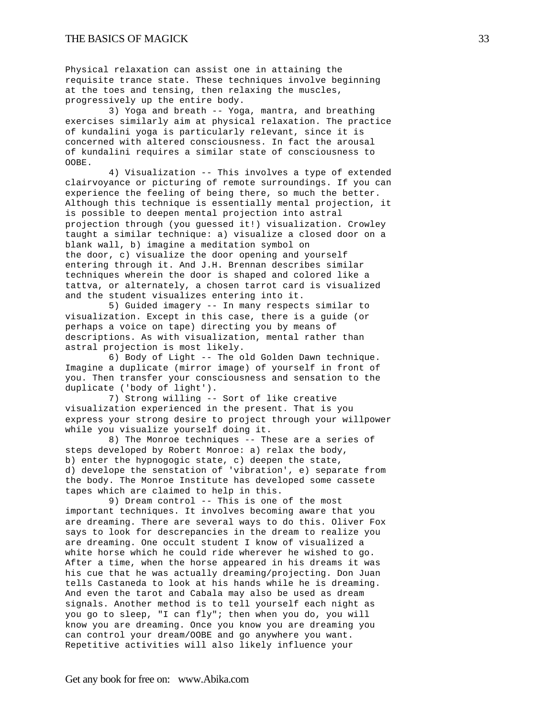Physical relaxation can assist one in attaining the requisite trance state. These techniques involve beginning at the toes and tensing, then relaxing the muscles, progressively up the entire body.

 3) Yoga and breath -- Yoga, mantra, and breathing exercises similarly aim at physical relaxation. The practice of kundalini yoga is particularly relevant, since it is concerned with altered consciousness. In fact the arousal of kundalini requires a similar state of consciousness to OOBE.

 4) Visualization -- This involves a type of extended clairvoyance or picturing of remote surroundings. If you can experience the feeling of being there, so much the better. Although this technique is essentially mental projection, it is possible to deepen mental projection into astral projection through (you guessed it!) visualization. Crowley taught a similar technique: a) visualize a closed door on a blank wall, b) imagine a meditation symbol on the door, c) visualize the door opening and yourself entering through it. And J.H. Brennan describes similar techniques wherein the door is shaped and colored like a tattva, or alternately, a chosen tarrot card is visualized and the student visualizes entering into it.

 5) Guided imagery -- In many respects similar to visualization. Except in this case, there is a guide (or perhaps a voice on tape) directing you by means of descriptions. As with visualization, mental rather than astral projection is most likely.

 6) Body of Light -- The old Golden Dawn technique. Imagine a duplicate (mirror image) of yourself in front of you. Then transfer your consciousness and sensation to the duplicate ('body of light').

 7) Strong willing -- Sort of like creative visualization experienced in the present. That is you express your strong desire to project through your willpower while you visualize yourself doing it.

 8) The Monroe techniques -- These are a series of steps developed by Robert Monroe: a) relax the body, b) enter the hypnogogic state, c) deepen the state, d) develope the senstation of 'vibration', e) separate from the body. The Monroe Institute has developed some cassete tapes which are claimed to help in this.

 9) Dream control -- This is one of the most important techniques. It involves becoming aware that you are dreaming. There are several ways to do this. Oliver Fox says to look for descrepancies in the dream to realize you are dreaming. One occult student I know of visualized a white horse which he could ride wherever he wished to go. After a time, when the horse appeared in his dreams it was his cue that he was actually dreaming/projecting. Don Juan tells Castaneda to look at his hands while he is dreaming. And even the tarot and Cabala may also be used as dream signals. Another method is to tell yourself each night as you go to sleep, "I can fly"; then when you do, you will know you are dreaming. Once you know you are dreaming you can control your dream/OOBE and go anywhere you want. Repetitive activities will also likely influence your

Get any book for free on: www.Abika.com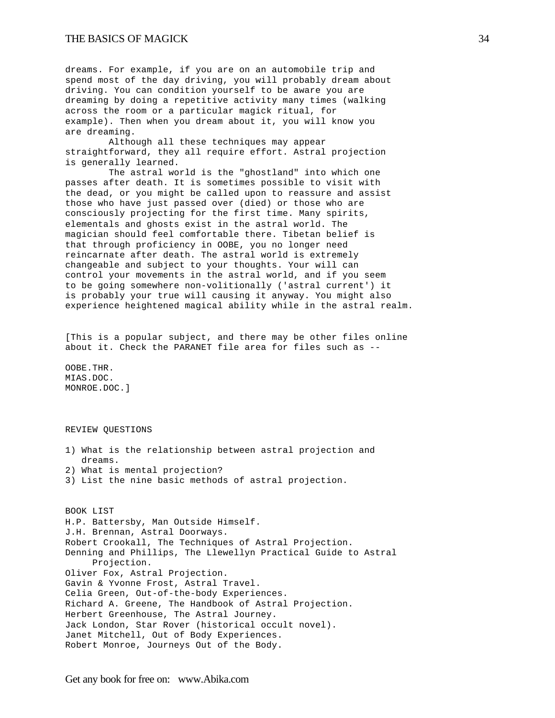dreams. For example, if you are on an automobile trip and spend most of the day driving, you will probably dream about driving. You can condition yourself to be aware you are dreaming by doing a repetitive activity many times (walking across the room or a particular magick ritual, for example). Then when you dream about it, you will know you are dreaming.

 Although all these techniques may appear straightforward, they all require effort. Astral projection is generally learned.

 The astral world is the "ghostland" into which one passes after death. It is sometimes possible to visit with the dead, or you might be called upon to reassure and assist those who have just passed over (died) or those who are consciously projecting for the first time. Many spirits, elementals and ghosts exist in the astral world. The magician should feel comfortable there. Tibetan belief is that through proficiency in OOBE, you no longer need reincarnate after death. The astral world is extremely changeable and subject to your thoughts. Your will can control your movements in the astral world, and if you seem to be going somewhere non-volitionally ('astral current') it is probably your true will causing it anyway. You might also experience heightened magical ability while in the astral realm.

[This is a popular subject, and there may be other files online about it. Check the PARANET file area for files such as --

OOBE.THR. MIAS.DOC. MONROE.DOC.]

REVIEW QUESTIONS

1) What is the relationship between astral projection and dreams. 2) What is mental projection?

3) List the nine basic methods of astral projection.

BOOK LIST H.P. Battersby, Man Outside Himself. J.H. Brennan, Astral Doorways. Robert Crookall, The Techniques of Astral Projection. Denning and Phillips, The Llewellyn Practical Guide to Astral Projection. Oliver Fox, Astral Projection. Gavin & Yvonne Frost, Astral Travel. Celia Green, Out-of-the-body Experiences. Richard A. Greene, The Handbook of Astral Projection. Herbert Greenhouse, The Astral Journey. Jack London, Star Rover (historical occult novel). Janet Mitchell, Out of Body Experiences. Robert Monroe, Journeys Out of the Body.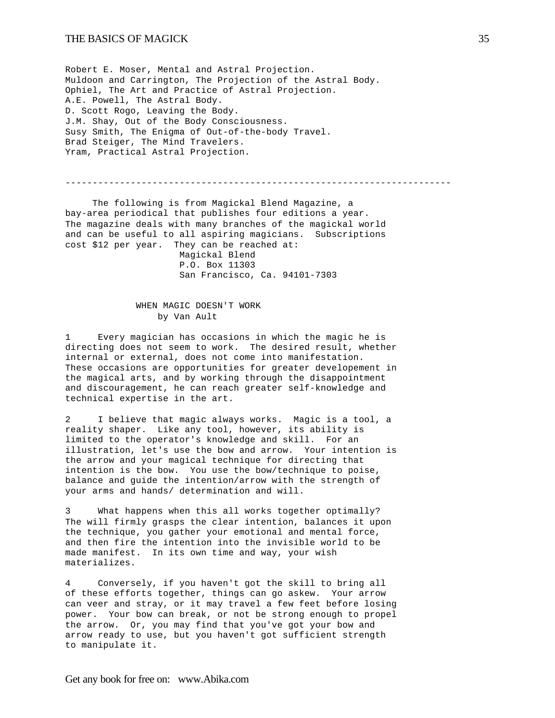Robert E. Moser, Mental and Astral Projection. Muldoon and Carrington, The Projection of the Astral Body. Ophiel, The Art and Practice of Astral Projection. A.E. Powell, The Astral Body. D. Scott Rogo, Leaving the Body. J.M. Shay, Out of the Body Consciousness. Susy Smith, The Enigma of Out-of-the-body Travel. Brad Steiger, The Mind Travelers. Yram, Practical Astral Projection.

-----------------------------------------------------------------------

 The following is from Magickal Blend Magazine, a bay-area periodical that publishes four editions a year. The magazine deals with many branches of the magickal world and can be useful to all aspiring magicians. Subscriptions cost \$12 per year. They can be reached at: Magickal Blend P.O. Box 11303

San Francisco, Ca. 94101-7303

 WHEN MAGIC DOESN'T WORK by Van Ault

Every magician has occasions in which the magic he is directing does not seem to work. The desired result, whether internal or external, does not come into manifestation. These occasions are opportunities for greater developement in the magical arts, and by working through the disappointment and discouragement, he can reach greater self-knowledge and technical expertise in the art.

2 I believe that magic always works. Magic is a tool, a reality shaper. Like any tool, however, its ability is limited to the operator's knowledge and skill. For an illustration, let's use the bow and arrow. Your intention is the arrow and your magical technique for directing that intention is the bow. You use the bow/technique to poise, balance and guide the intention/arrow with the strength of your arms and hands/ determination and will.

3 What happens when this all works together optimally? The will firmly grasps the clear intention, balances it upon the technique, you gather your emotional and mental force, and then fire the intention into the invisible world to be made manifest. In its own time and way, your wish materializes.

Conversely, if you haven't got the skill to bring all of these efforts together, things can go askew. Your arrow can veer and stray, or it may travel a few feet before losing power. Your bow can break, or not be strong enough to propel the arrow. Or, you may find that you've got your bow and arrow ready to use, but you haven't got sufficient strength to manipulate it.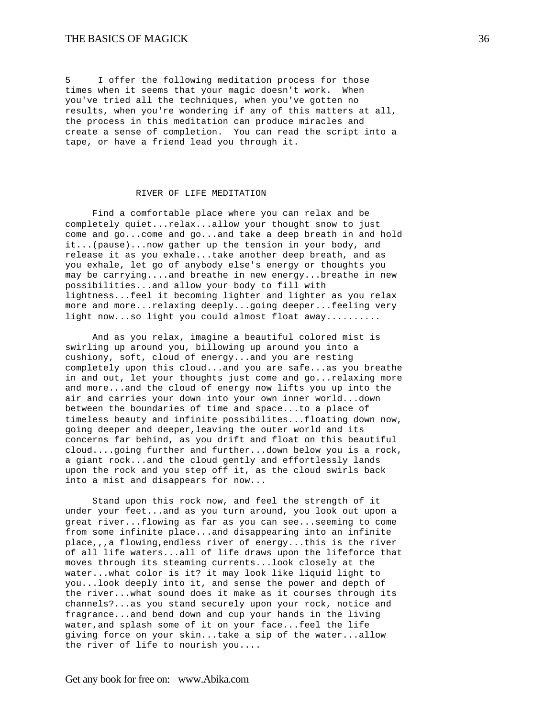5 I offer the following meditation process for those times when it seems that your magic doesn't work. When you've tried all the techniques, when you've gotten no results, when you're wondering if any of this matters at all, the process in this meditation can produce miracles and create a sense of completion. You can read the script into a tape, or have a friend lead you through it.

## RIVER OF LIFE MEDITATION

 Find a comfortable place where you can relax and be completely quiet...relax...allow your thought snow to just come and go...come and go...and take a deep breath in and hold it...(pause)...now gather up the tension in your body, and release it as you exhale...take another deep breath, and as you exhale, let go of anybody else's energy or thoughts you may be carrying....and breathe in new energy...breathe in new possibilities...and allow your body to fill with lightness...feel it becoming lighter and lighter as you relax more and more...relaxing deeply...going deeper...feeling very light now...so light you could almost float away..........

 And as you relax, imagine a beautiful colored mist is swirling up around you, billowing up around you into a cushiony, soft, cloud of energy...and you are resting completely upon this cloud...and you are safe...as you breathe in and out, let your thoughts just come and go...relaxing more and more...and the cloud of energy now lifts you up into the air and carries your down into your own inner world...down between the boundaries of time and space...to a place of timeless beauty and infinite possibilites...floating down now, going deeper and deeper,leaving the outer world and its concerns far behind, as you drift and float on this beautiful cloud....going further and further...down below you is a rock, a giant rock...and the cloud gently and effortlessly lands upon the rock and you step off it, as the cloud swirls back into a mist and disappears for now...

 Stand upon this rock now, and feel the strength of it under your feet...and as you turn around, you look out upon a great river...flowing as far as you can see...seeming to come from some infinite place...and disappearing into an infinite place,,,a flowing,endless river of energy...this is the river of all life waters...all of life draws upon the lifeforce that moves through its steaming currents...look closely at the water...what color is it? it may look like liquid light to you...look deeply into it, and sense the power and depth of the river...what sound does it make as it courses through its channels?...as you stand securely upon your rock, notice and fragrance...and bend down and cup your hands in the living water,and splash some of it on your face...feel the life giving force on your skin...take a sip of the water...allow the river of life to nourish you....

Get any book for free on: www.Abika.com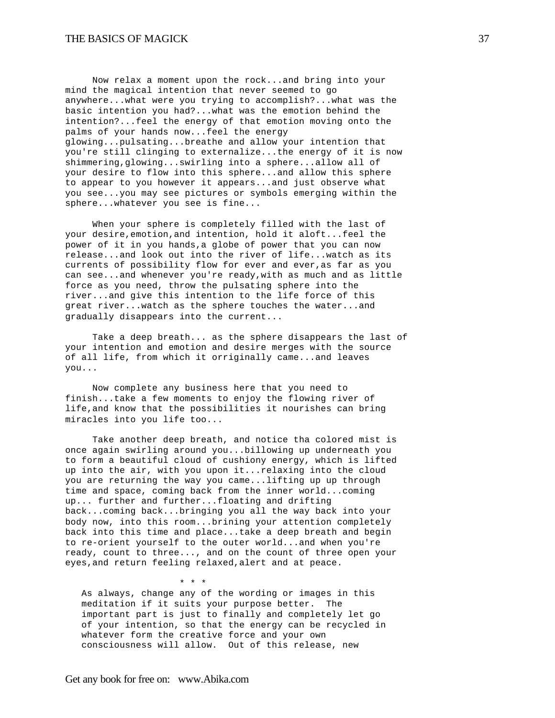Now relax a moment upon the rock...and bring into your mind the magical intention that never seemed to go anywhere...what were you trying to accomplish?...what was the basic intention you had?...what was the emotion behind the intention?...feel the energy of that emotion moving onto the palms of your hands now...feel the energy glowing...pulsating...breathe and allow your intention that you're still clinging to externalize...the energy of it is now shimmering,glowing...swirling into a sphere...allow all of your desire to flow into this sphere...and allow this sphere to appear to you however it appears...and just observe what you see...you may see pictures or symbols emerging within the sphere...whatever you see is fine...

 When your sphere is completely filled with the last of your desire,emotion,and intention, hold it aloft...feel the power of it in you hands,a globe of power that you can now release...and look out into the river of life...watch as its currents of possibility flow for ever and ever,as far as you can see...and whenever you're ready,with as much and as little force as you need, throw the pulsating sphere into the river...and give this intention to the life force of this great river...watch as the sphere touches the water...and gradually disappears into the current...

 Take a deep breath... as the sphere disappears the last of your intention and emotion and desire merges with the source of all life, from which it orriginally came...and leaves you...

 Now complete any business here that you need to finish...take a few moments to enjoy the flowing river of life,and know that the possibilities it nourishes can bring miracles into you life too...

 Take another deep breath, and notice tha colored mist is once again swirling around you...billowing up underneath you to form a beautiful cloud of cushiony energy, which is lifted up into the air, with you upon it...relaxing into the cloud you are returning the way you came...lifting up up through time and space, coming back from the inner world...coming up... further and further...floating and drifting back...coming back...bringing you all the way back into your body now, into this room...brining your attention completely back into this time and place...take a deep breath and begin to re-orient yourself to the outer world...and when you're ready, count to three..., and on the count of three open your eyes,and return feeling relaxed,alert and at peace.

 As always, change any of the wording or images in this meditation if it suits your purpose better. The important part is just to finally and completely let go of your intention, so that the energy can be recycled in whatever form the creative force and your own consciousness will allow. Out of this release, new

\* \* \*